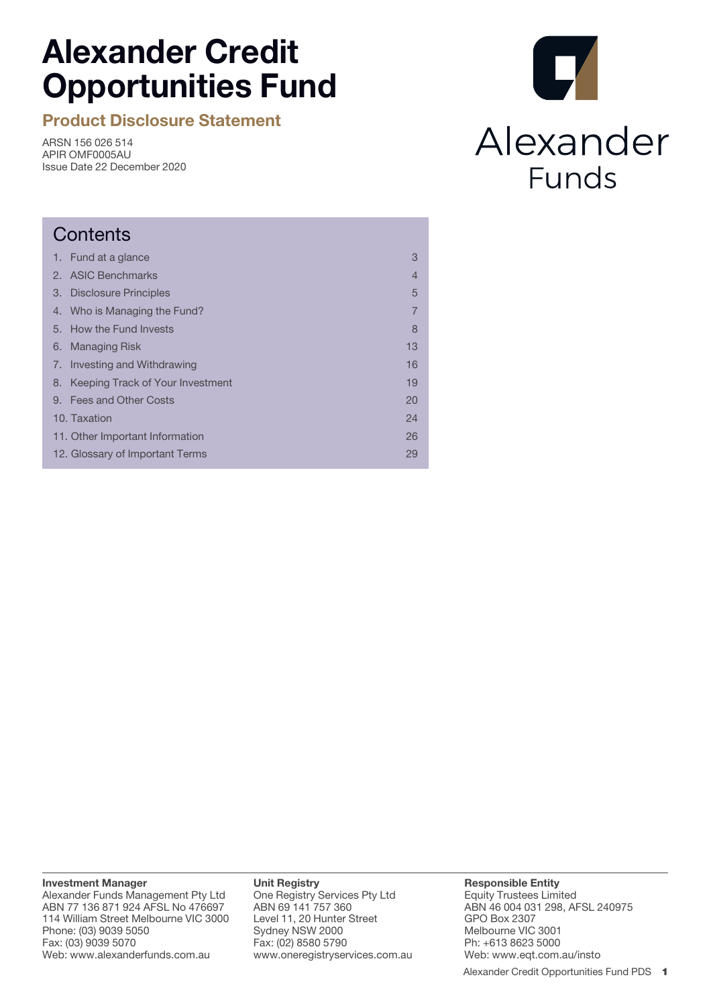# **Alexander Credit Opportunities Fund**

**Product Disclosure Statement**

ARSN 156 026 514 APIR OMF0005AU Issue Date 22 December 2020

# $\mathbf{r}$ Alexander Funds

| Contents                            |                |  |  |
|-------------------------------------|----------------|--|--|
| 1. Fund at a glance                 | 3              |  |  |
| <b>ASIC Benchmarks</b>              | 4              |  |  |
| Disclosure Principles               | 5              |  |  |
| 4. Who is Managing the Fund?        | $\overline{7}$ |  |  |
| 5. How the Fund Invests             | 8              |  |  |
| <b>Managing Risk</b>                | 13             |  |  |
| 7. Investing and Withdrawing        | 16             |  |  |
| 8. Keeping Track of Your Investment | 19             |  |  |
| 9. Fees and Other Costs             | 20             |  |  |
| 10. Taxation                        | 24             |  |  |
| 11. Other Important Information     | 26             |  |  |
| 12. Glossary of Important Terms     | 29             |  |  |
|                                     |                |  |  |

**Investment Manager**

Alexander Funds Management Pty Ltd ABN 77 136 871 924 AFSL No 476697 114 William Street Melbourne VIC 3000 Phone: (03) 9039 5050 Fax: (03) 9039 5070 Web: www.alexanderfunds.com.au

#### **Unit Registry**

One Registry Services Pty Ltd ABN 69 141 757 360 Level 11, 20 Hunter Street Sydney NSW 2000 Fax: (02) 8580 5790 www.oneregistryservices.com.au

#### **Responsible Entity** Equity Trustees Limited ABN 46 004 031 298, AFSL 240975 GPO Box 2307 Melbourne VIC 3001 Ph: +613 8623 5000 Web: www.eqt.com.au/insto

Alexander Credit Opportunities Fund PDS 1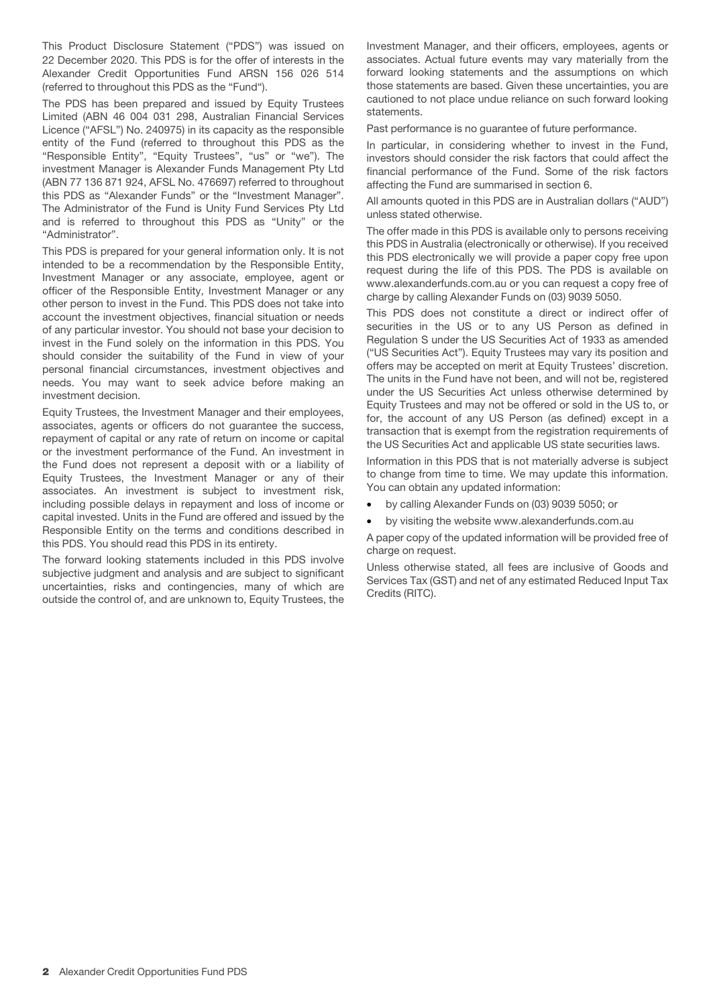This Product Disclosure Statement ("PDS") was issued on 22 December 2020. This PDS is for the offer of interests in the Alexander Credit Opportunities Fund ARSN 156 026 514 (referred to throughout this PDS as the "Fund").

The PDS has been prepared and issued by Equity Trustees Limited (ABN 46 004 031 298, Australian Financial Services Licence ("AFSL") No. 240975) in its capacity as the responsible entity of the Fund (referred to throughout this PDS as the "Responsible Entity", "Equity Trustees", "us" or "we"). The investment Manager is Alexander Funds Management Pty Ltd (ABN 77 136 871 924, AFSL No. 476697) referred to throughout this PDS as "Alexander Funds" or the "Investment Manager". The Administrator of the Fund is Unity Fund Services Pty Ltd and is referred to throughout this PDS as "Unity" or the "Administrator".

This PDS is prepared for your general information only. It is not intended to be a recommendation by the Responsible Entity, Investment Manager or any associate, employee, agent or officer of the Responsible Entity, Investment Manager or any other person to invest in the Fund. This PDS does not take into account the investment objectives, financial situation or needs of any particular investor. You should not base your decision to invest in the Fund solely on the information in this PDS. You should consider the suitability of the Fund in view of your personal financial circumstances, investment objectives and needs. You may want to seek advice before making an investment decision.

Equity Trustees, the Investment Manager and their employees, associates, agents or officers do not guarantee the success, repayment of capital or any rate of return on income or capital or the investment performance of the Fund. An investment in the Fund does not represent a deposit with or a liability of Equity Trustees, the Investment Manager or any of their associates. An investment is subject to investment risk, including possible delays in repayment and loss of income or capital invested. Units in the Fund are offered and issued by the Responsible Entity on the terms and conditions described in this PDS. You should read this PDS in its entirety.

The forward looking statements included in this PDS involve subjective judgment and analysis and are subject to significant uncertainties, risks and contingencies, many of which are outside the control of, and are unknown to, Equity Trustees, the Investment Manager, and their officers, employees, agents or associates. Actual future events may vary materially from the forward looking statements and the assumptions on which those statements are based. Given these uncertainties, you are cautioned to not place undue reliance on such forward looking statements.

Past performance is no guarantee of future performance.

In particular, in considering whether to invest in the Fund, investors should consider the risk factors that could affect the financial performance of the Fund. Some of the risk factors affecting the Fund are summarised in section 6.

All amounts quoted in this PDS are in Australian dollars ("AUD") unless stated otherwise.

The offer made in this PDS is available only to persons receiving this PDS in Australia (electronically or otherwise). If you received this PDS electronically we will provide a paper copy free upon request during the life of this PDS. The PDS is available on www.alexanderfunds.com.au or you can request a copy free of charge by calling Alexander Funds on (03) 9039 5050.

This PDS does not constitute a direct or indirect offer of securities in the US or to any US Person as defined in Regulation S under the US Securities Act of 1933 as amended ("US Securities Act"). Equity Trustees may vary its position and offers may be accepted on merit at Equity Trustees' discretion. The units in the Fund have not been, and will not be, registered under the US Securities Act unless otherwise determined by Equity Trustees and may not be offered or sold in the US to, or for, the account of any US Person (as defined) except in a transaction that is exempt from the registration requirements of the US Securities Act and applicable US state securities laws.

Information in this PDS that is not materially adverse is subject to change from time to time. We may update this information. You can obtain any updated information:

- by calling Alexander Funds on (03) 9039 5050; or
- by visiting the website www.alexanderfunds.com.au

A paper copy of the updated information will be provided free of charge on request.

Unless otherwise stated, all fees are inclusive of Goods and Services Tax (GST) and net of any estimated Reduced Input Tax Credits (RITC).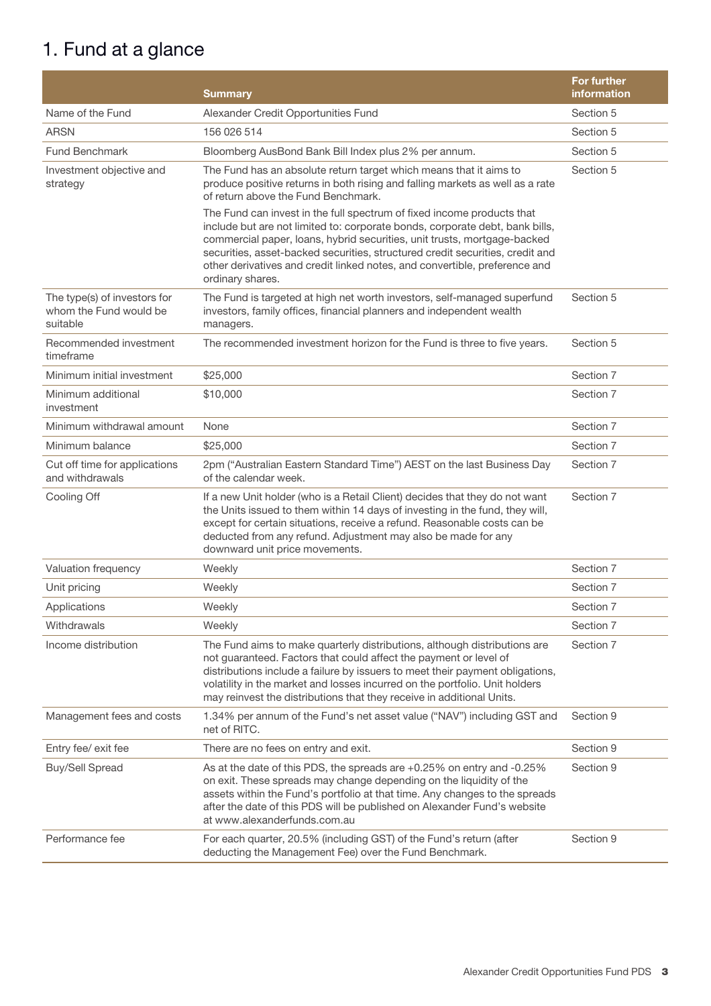# 1. Fund at a glance

|                                                                    | <b>Summary</b>                                                                                                                                                                                                                                                                                                                                                                          | <b>For further</b><br>information |
|--------------------------------------------------------------------|-----------------------------------------------------------------------------------------------------------------------------------------------------------------------------------------------------------------------------------------------------------------------------------------------------------------------------------------------------------------------------------------|-----------------------------------|
| Name of the Fund                                                   | Alexander Credit Opportunities Fund                                                                                                                                                                                                                                                                                                                                                     | Section 5                         |
| <b>ARSN</b>                                                        | 156 026 514                                                                                                                                                                                                                                                                                                                                                                             | Section 5                         |
| <b>Fund Benchmark</b>                                              | Bloomberg AusBond Bank Bill Index plus 2% per annum.                                                                                                                                                                                                                                                                                                                                    | Section 5                         |
| Investment objective and<br>strategy                               | The Fund has an absolute return target which means that it aims to<br>produce positive returns in both rising and falling markets as well as a rate<br>of return above the Fund Benchmark.<br>The Fund can invest in the full spectrum of fixed income products that                                                                                                                    | Section 5                         |
|                                                                    | include but are not limited to: corporate bonds, corporate debt, bank bills,<br>commercial paper, loans, hybrid securities, unit trusts, mortgage-backed<br>securities, asset-backed securities, structured credit securities, credit and<br>other derivatives and credit linked notes, and convertible, preference and<br>ordinary shares.                                             |                                   |
| The type(s) of investors for<br>whom the Fund would be<br>suitable | The Fund is targeted at high net worth investors, self-managed superfund<br>investors, family offices, financial planners and independent wealth<br>managers.                                                                                                                                                                                                                           | Section 5                         |
| Recommended investment<br>timeframe                                | The recommended investment horizon for the Fund is three to five years.                                                                                                                                                                                                                                                                                                                 | Section 5                         |
| Minimum initial investment                                         | \$25,000                                                                                                                                                                                                                                                                                                                                                                                | Section 7                         |
| Minimum additional<br>investment                                   | \$10,000                                                                                                                                                                                                                                                                                                                                                                                | Section 7                         |
| Minimum withdrawal amount                                          | None                                                                                                                                                                                                                                                                                                                                                                                    | Section 7                         |
| Minimum balance                                                    | \$25,000                                                                                                                                                                                                                                                                                                                                                                                | Section 7                         |
| Cut off time for applications<br>and withdrawals                   | 2pm ("Australian Eastern Standard Time") AEST on the last Business Day<br>of the calendar week.                                                                                                                                                                                                                                                                                         | Section 7                         |
| Cooling Off                                                        | If a new Unit holder (who is a Retail Client) decides that they do not want<br>the Units issued to them within 14 days of investing in the fund, they will,<br>except for certain situations, receive a refund. Reasonable costs can be<br>deducted from any refund. Adjustment may also be made for any<br>downward unit price movements.                                              | Section 7                         |
| Valuation frequency                                                | Weekly                                                                                                                                                                                                                                                                                                                                                                                  | Section 7                         |
| Unit pricing                                                       | Weekly                                                                                                                                                                                                                                                                                                                                                                                  | Section 7                         |
| Applications                                                       | Weekly                                                                                                                                                                                                                                                                                                                                                                                  | Section 7                         |
| Withdrawals                                                        | Weekly                                                                                                                                                                                                                                                                                                                                                                                  | Section 7                         |
| Income distribution                                                | The Fund aims to make quarterly distributions, although distributions are<br>not guaranteed. Factors that could affect the payment or level of<br>distributions include a failure by issuers to meet their payment obligations,<br>volatility in the market and losses incurred on the portfolio. Unit holders<br>may reinvest the distributions that they receive in additional Units. | Section 7                         |
| Management fees and costs                                          | 1.34% per annum of the Fund's net asset value ("NAV") including GST and<br>net of RITC.                                                                                                                                                                                                                                                                                                 | Section 9                         |
| Entry fee/ exit fee                                                | There are no fees on entry and exit.                                                                                                                                                                                                                                                                                                                                                    | Section 9                         |
| <b>Buy/Sell Spread</b>                                             | As at the date of this PDS, the spreads are +0.25% on entry and -0.25%<br>on exit. These spreads may change depending on the liquidity of the<br>assets within the Fund's portfolio at that time. Any changes to the spreads<br>after the date of this PDS will be published on Alexander Fund's website<br>at www.alexanderfunds.com.au                                                | Section 9                         |
| Performance fee                                                    | For each quarter, 20.5% (including GST) of the Fund's return (after<br>deducting the Management Fee) over the Fund Benchmark.                                                                                                                                                                                                                                                           | Section 9                         |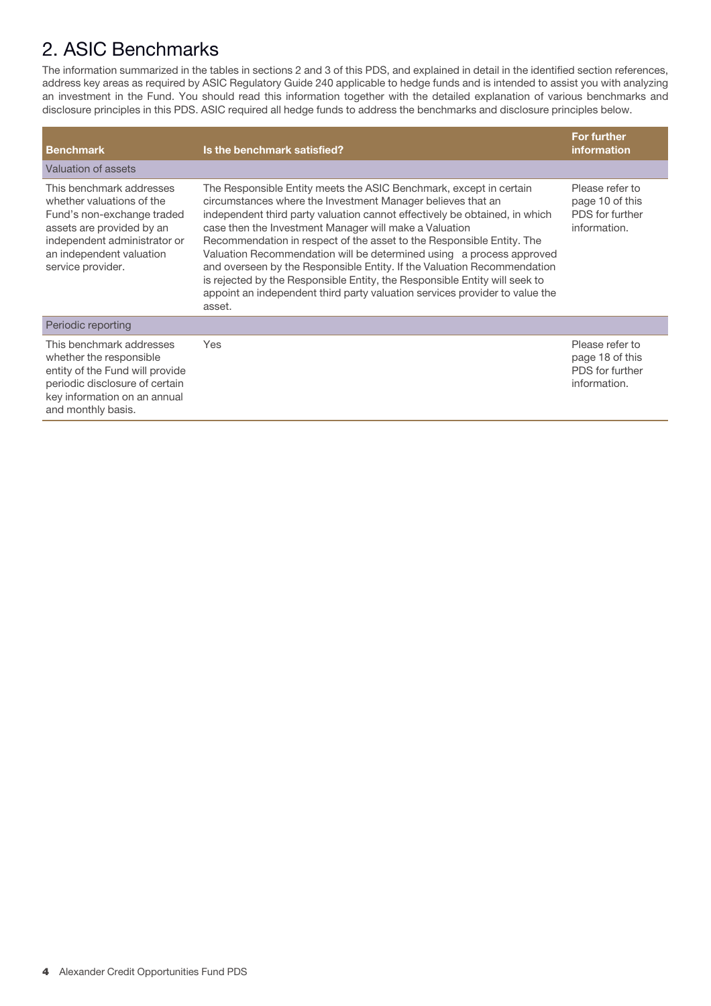# 2. ASIC Benchmarks

The information summarized in the tables in sections 2 and 3 of this PDS, and explained in detail in the identified section references, address key areas as required by ASIC Regulatory Guide 240 applicable to hedge funds and is intended to assist you with analyzing an investment in the Fund. You should read this information together with the detailed explanation of various benchmarks and disclosure principles in this PDS. ASIC required all hedge funds to address the benchmarks and disclosure principles below.

| <b>Benchmark</b>                                                                                                                                                                                  | Is the benchmark satisfied?                                                                                                                                                                                                                                                                                                                                                                                                                                                                                                                                                                                                                                                  | For further<br><i>information</i>                                     |
|---------------------------------------------------------------------------------------------------------------------------------------------------------------------------------------------------|------------------------------------------------------------------------------------------------------------------------------------------------------------------------------------------------------------------------------------------------------------------------------------------------------------------------------------------------------------------------------------------------------------------------------------------------------------------------------------------------------------------------------------------------------------------------------------------------------------------------------------------------------------------------------|-----------------------------------------------------------------------|
| Valuation of assets                                                                                                                                                                               |                                                                                                                                                                                                                                                                                                                                                                                                                                                                                                                                                                                                                                                                              |                                                                       |
| This benchmark addresses<br>whether valuations of the<br>Fund's non-exchange traded<br>assets are provided by an<br>independent administrator or<br>an independent valuation<br>service provider. | The Responsible Entity meets the ASIC Benchmark, except in certain<br>circumstances where the Investment Manager believes that an<br>independent third party valuation cannot effectively be obtained, in which<br>case then the Investment Manager will make a Valuation<br>Recommendation in respect of the asset to the Responsible Entity. The<br>Valuation Recommendation will be determined using a process approved<br>and overseen by the Responsible Entity. If the Valuation Recommendation<br>is rejected by the Responsible Entity, the Responsible Entity will seek to<br>appoint an independent third party valuation services provider to value the<br>asset. | Please refer to<br>page 10 of this<br>PDS for further<br>information. |
| Periodic reporting                                                                                                                                                                                |                                                                                                                                                                                                                                                                                                                                                                                                                                                                                                                                                                                                                                                                              |                                                                       |
| This benchmark addresses<br>whether the responsible<br>entity of the Fund will provide<br>periodic disclosure of certain<br>key information on an annual<br>and monthly basis.                    | <b>Yes</b>                                                                                                                                                                                                                                                                                                                                                                                                                                                                                                                                                                                                                                                                   | Please refer to<br>page 18 of this<br>PDS for further<br>information. |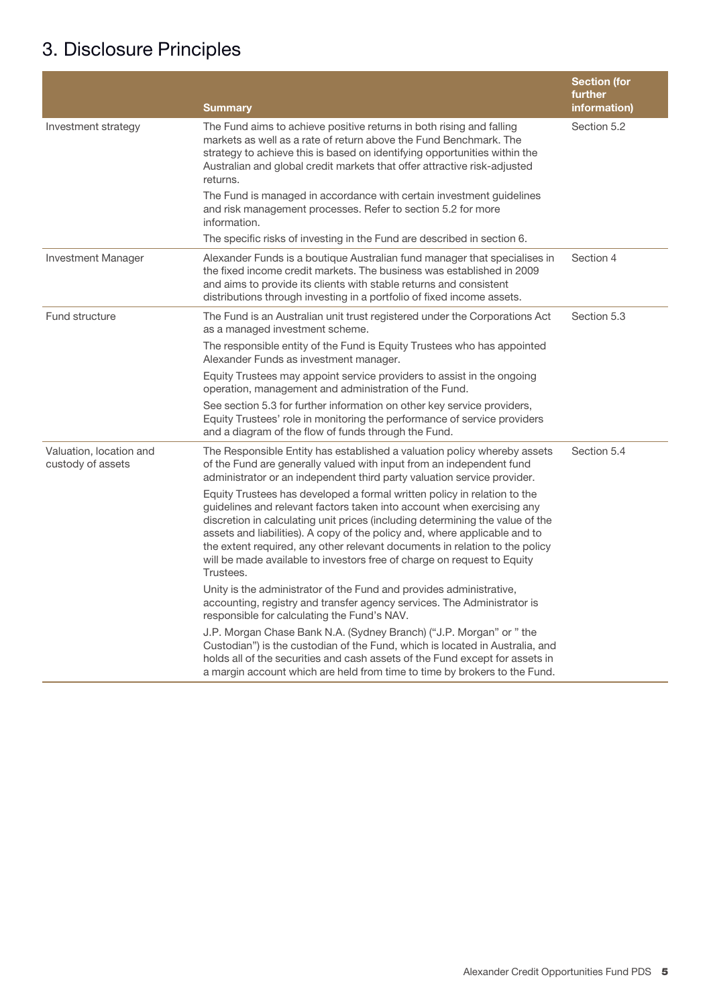# 3. Disclosure Principles

|                                              | <b>Summary</b>                                                                                                                                                                                                                                                                                                                                                                                                                                                                           | <b>Section (for</b><br>further<br>information) |
|----------------------------------------------|------------------------------------------------------------------------------------------------------------------------------------------------------------------------------------------------------------------------------------------------------------------------------------------------------------------------------------------------------------------------------------------------------------------------------------------------------------------------------------------|------------------------------------------------|
| Investment strategy                          | The Fund aims to achieve positive returns in both rising and falling<br>markets as well as a rate of return above the Fund Benchmark. The<br>strategy to achieve this is based on identifying opportunities within the<br>Australian and global credit markets that offer attractive risk-adjusted<br>returns.<br>The Fund is managed in accordance with certain investment guidelines<br>and risk management processes. Refer to section 5.2 for more<br>information.                   | Section 5.2                                    |
|                                              | The specific risks of investing in the Fund are described in section 6.                                                                                                                                                                                                                                                                                                                                                                                                                  |                                                |
| <b>Investment Manager</b>                    | Alexander Funds is a boutique Australian fund manager that specialises in<br>the fixed income credit markets. The business was established in 2009<br>and aims to provide its clients with stable returns and consistent<br>distributions through investing in a portfolio of fixed income assets.                                                                                                                                                                                       | Section 4                                      |
| Fund structure                               | The Fund is an Australian unit trust registered under the Corporations Act<br>as a managed investment scheme.                                                                                                                                                                                                                                                                                                                                                                            | Section 5.3                                    |
|                                              | The responsible entity of the Fund is Equity Trustees who has appointed<br>Alexander Funds as investment manager.                                                                                                                                                                                                                                                                                                                                                                        |                                                |
|                                              | Equity Trustees may appoint service providers to assist in the ongoing<br>operation, management and administration of the Fund.                                                                                                                                                                                                                                                                                                                                                          |                                                |
|                                              | See section 5.3 for further information on other key service providers,<br>Equity Trustees' role in monitoring the performance of service providers<br>and a diagram of the flow of funds through the Fund.                                                                                                                                                                                                                                                                              |                                                |
| Valuation, location and<br>custody of assets | The Responsible Entity has established a valuation policy whereby assets<br>of the Fund are generally valued with input from an independent fund<br>administrator or an independent third party valuation service provider.                                                                                                                                                                                                                                                              | Section 5.4                                    |
|                                              | Equity Trustees has developed a formal written policy in relation to the<br>guidelines and relevant factors taken into account when exercising any<br>discretion in calculating unit prices (including determining the value of the<br>assets and liabilities). A copy of the policy and, where applicable and to<br>the extent required, any other relevant documents in relation to the policy<br>will be made available to investors free of charge on request to Equity<br>Trustees. |                                                |
|                                              | Unity is the administrator of the Fund and provides administrative,<br>accounting, registry and transfer agency services. The Administrator is<br>responsible for calculating the Fund's NAV.                                                                                                                                                                                                                                                                                            |                                                |
|                                              | J.P. Morgan Chase Bank N.A. (Sydney Branch) ("J.P. Morgan" or " the<br>Custodian") is the custodian of the Fund, which is located in Australia, and<br>holds all of the securities and cash assets of the Fund except for assets in<br>a margin account which are held from time to time by brokers to the Fund.                                                                                                                                                                         |                                                |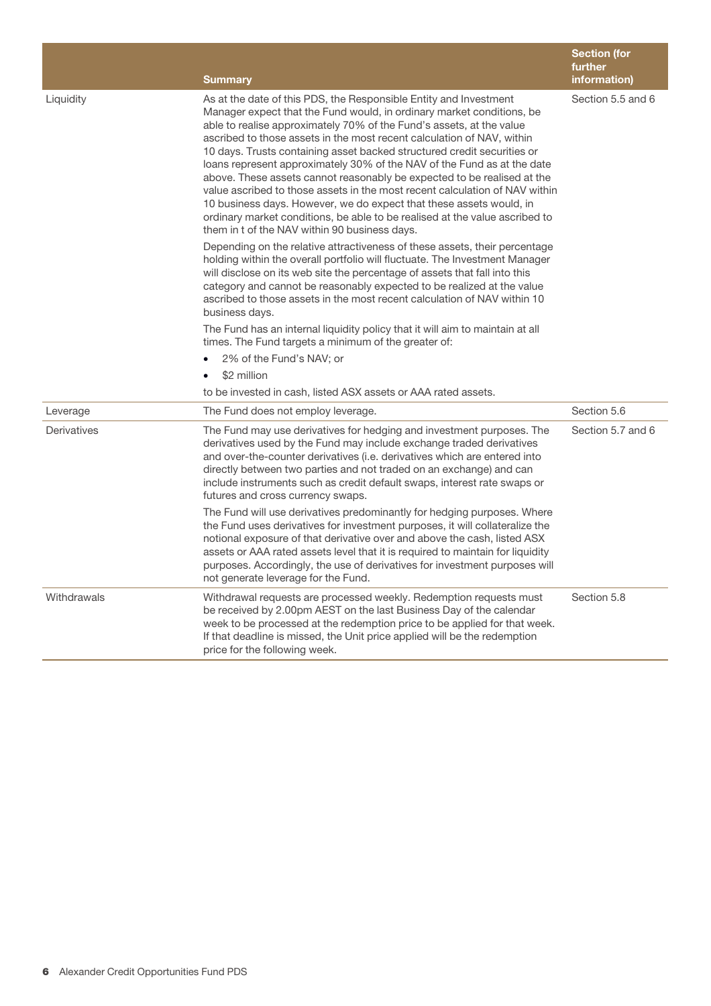|             | <b>Summary</b>                                                                                                                                                                                                                                                                                                                                                                                                                                                                                                                                                                                                                                                                                                                                                                                                      | <b>Section (for</b><br>further<br>information) |
|-------------|---------------------------------------------------------------------------------------------------------------------------------------------------------------------------------------------------------------------------------------------------------------------------------------------------------------------------------------------------------------------------------------------------------------------------------------------------------------------------------------------------------------------------------------------------------------------------------------------------------------------------------------------------------------------------------------------------------------------------------------------------------------------------------------------------------------------|------------------------------------------------|
| Liquidity   | As at the date of this PDS, the Responsible Entity and Investment<br>Manager expect that the Fund would, in ordinary market conditions, be<br>able to realise approximately 70% of the Fund's assets, at the value<br>ascribed to those assets in the most recent calculation of NAV, within<br>10 days. Trusts containing asset backed structured credit securities or<br>loans represent approximately 30% of the NAV of the Fund as at the date<br>above. These assets cannot reasonably be expected to be realised at the<br>value ascribed to those assets in the most recent calculation of NAV within<br>10 business days. However, we do expect that these assets would, in<br>ordinary market conditions, be able to be realised at the value ascribed to<br>them in t of the NAV within 90 business days. | Section 5.5 and 6                              |
|             | Depending on the relative attractiveness of these assets, their percentage<br>holding within the overall portfolio will fluctuate. The Investment Manager<br>will disclose on its web site the percentage of assets that fall into this<br>category and cannot be reasonably expected to be realized at the value<br>ascribed to those assets in the most recent calculation of NAV within 10<br>business days.                                                                                                                                                                                                                                                                                                                                                                                                     |                                                |
|             | The Fund has an internal liquidity policy that it will aim to maintain at all<br>times. The Fund targets a minimum of the greater of:                                                                                                                                                                                                                                                                                                                                                                                                                                                                                                                                                                                                                                                                               |                                                |
|             | 2% of the Fund's NAV; or                                                                                                                                                                                                                                                                                                                                                                                                                                                                                                                                                                                                                                                                                                                                                                                            |                                                |
|             | \$2 million                                                                                                                                                                                                                                                                                                                                                                                                                                                                                                                                                                                                                                                                                                                                                                                                         |                                                |
|             | to be invested in cash, listed ASX assets or AAA rated assets.                                                                                                                                                                                                                                                                                                                                                                                                                                                                                                                                                                                                                                                                                                                                                      |                                                |
| Leverage    | The Fund does not employ leverage.                                                                                                                                                                                                                                                                                                                                                                                                                                                                                                                                                                                                                                                                                                                                                                                  | Section 5.6                                    |
| Derivatives | The Fund may use derivatives for hedging and investment purposes. The<br>derivatives used by the Fund may include exchange traded derivatives<br>and over-the-counter derivatives (i.e. derivatives which are entered into<br>directly between two parties and not traded on an exchange) and can<br>include instruments such as credit default swaps, interest rate swaps or<br>futures and cross currency swaps.                                                                                                                                                                                                                                                                                                                                                                                                  | Section 5.7 and 6                              |
|             | The Fund will use derivatives predominantly for hedging purposes. Where<br>the Fund uses derivatives for investment purposes, it will collateralize the<br>notional exposure of that derivative over and above the cash, listed ASX<br>assets or AAA rated assets level that it is required to maintain for liquidity<br>purposes. Accordingly, the use of derivatives for investment purposes will<br>not generate leverage for the Fund.                                                                                                                                                                                                                                                                                                                                                                          |                                                |
| Withdrawals | Withdrawal requests are processed weekly. Redemption requests must<br>be received by 2.00pm AEST on the last Business Day of the calendar<br>week to be processed at the redemption price to be applied for that week.<br>If that deadline is missed, the Unit price applied will be the redemption<br>price for the following week.                                                                                                                                                                                                                                                                                                                                                                                                                                                                                | Section 5.8                                    |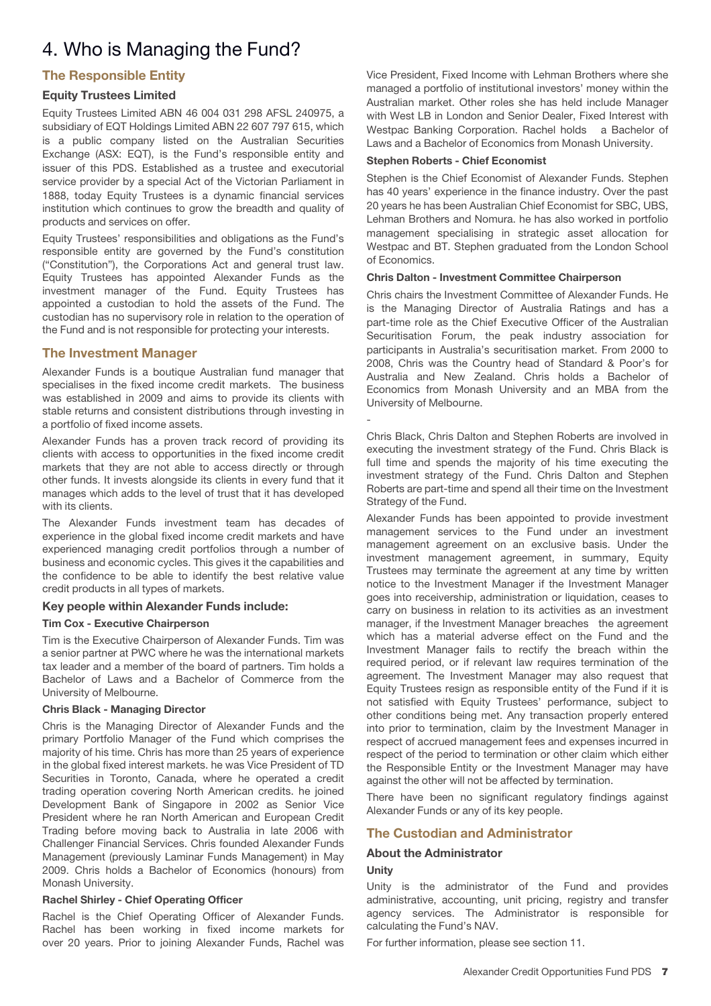# 4. Who is Managing the Fund?

# **The Responsible Entity**

# **Equity Trustees Limited**

Equity Trustees Limited ABN 46 004 031 298 AFSL 240975, a subsidiary of EQT Holdings Limited ABN 22 607 797 615, which is a public company listed on the Australian Securities Exchange (ASX: EQT), is the Fund's responsible entity and issuer of this PDS. Established as a trustee and executorial service provider by a special Act of the Victorian Parliament in 1888, today Equity Trustees is a dynamic financial services institution which continues to grow the breadth and quality of products and services on offer.

Equity Trustees' responsibilities and obligations as the Fund's responsible entity are governed by the Fund's constitution ("Constitution"), the Corporations Act and general trust law. Equity Trustees has appointed Alexander Funds as the investment manager of the Fund. Equity Trustees has appointed a custodian to hold the assets of the Fund. The custodian has no supervisory role in relation to the operation of the Fund and is not responsible for protecting your interests.

# **The Investment Manager**

Alexander Funds is a boutique Australian fund manager that specialises in the fixed income credit markets. The business was established in 2009 and aims to provide its clients with stable returns and consistent distributions through investing in a portfolio of fixed income assets.

Alexander Funds has a proven track record of providing its clients with access to opportunities in the fixed income credit markets that they are not able to access directly or through other funds. It invests alongside its clients in every fund that it manages which adds to the level of trust that it has developed with its clients.

The Alexander Funds investment team has decades of experience in the global fixed income credit markets and have experienced managing credit portfolios through a number of business and economic cycles. This gives it the capabilities and the confidence to be able to identify the best relative value credit products in all types of markets.

# **Key people within Alexander Funds include:**

# **Tim Cox - Executive Chairperson**

Tim is the Executive Chairperson of Alexander Funds. Tim was a senior partner at PWC where he was the international markets tax leader and a member of the board of partners. Tim holds a Bachelor of Laws and a Bachelor of Commerce from the University of Melbourne.

#### **Chris Black - Managing Director**

Chris is the Managing Director of Alexander Funds and the primary Portfolio Manager of the Fund which comprises the majority of his time. Chris has more than 25 years of experience in the global fixed interest markets. he was Vice President of TD Securities in Toronto, Canada, where he operated a credit trading operation covering North American credits. he joined Development Bank of Singapore in 2002 as Senior Vice President where he ran North American and European Credit Trading before moving back to Australia in late 2006 with Challenger Financial Services. Chris founded Alexander Funds Management (previously Laminar Funds Management) in May 2009. Chris holds a Bachelor of Economics (honours) from Monash University.

# **Rachel Shirley - Chief Operating Officer**

Rachel is the Chief Operating Officer of Alexander Funds. Rachel has been working in fixed income markets for over 20 years. Prior to joining Alexander Funds, Rachel was Vice President, Fixed Income with Lehman Brothers where she managed a portfolio of institutional investors' money within the Australian market. Other roles she has held include Manager with West LB in London and Senior Dealer, Fixed Interest with Westpac Banking Corporation. Rachel holds a Bachelor of Laws and a Bachelor of Economics from Monash University.

#### **Stephen Roberts - Chief Economist**

Stephen is the Chief Economist of Alexander Funds. Stephen has 40 years' experience in the finance industry. Over the past 20 years he has been Australian Chief Economist for SBC, UBS, Lehman Brothers and Nomura. he has also worked in portfolio management specialising in strategic asset allocation for Westpac and BT. Stephen graduated from the London School of Economics.

#### **Chris Dalton - Investment Committee Chairperson**

Chris chairs the Investment Committee of Alexander Funds. He is the Managing Director of Australia Ratings and has a part-time role as the Chief Executive Officer of the Australian Securitisation Forum, the peak industry association for participants in Australia's securitisation market. From 2000 to 2008, Chris was the Country head of Standard & Poor's for Australia and New Zealand. Chris holds a Bachelor of Economics from Monash University and an MBA from the University of Melbourne.

Chris Black, Chris Dalton and Stephen Roberts are involved in executing the investment strategy of the Fund. Chris Black is full time and spends the majority of his time executing the investment strategy of the Fund. Chris Dalton and Stephen Roberts are part-time and spend all their time on the Investment Strategy of the Fund.

Alexander Funds has been appointed to provide investment management services to the Fund under an investment management agreement on an exclusive basis. Under the investment management agreement, in summary, Equity Trustees may terminate the agreement at any time by written notice to the Investment Manager if the Investment Manager goes into receivership, administration or liquidation, ceases to carry on business in relation to its activities as an investment manager, if the Investment Manager breaches the agreement which has a material adverse effect on the Fund and the Investment Manager fails to rectify the breach within the required period, or if relevant law requires termination of the agreement. The Investment Manager may also request that Equity Trustees resign as responsible entity of the Fund if it is not satisfied with Equity Trustees' performance, subject to other conditions being met. Any transaction properly entered into prior to termination, claim by the Investment Manager in respect of accrued management fees and expenses incurred in respect of the period to termination or other claim which either the Responsible Entity or the Investment Manager may have against the other will not be affected by termination.

There have been no significant regulatory findings against Alexander Funds or any of its key people.

# **The Custodian and Administrator**

# **About the Administrator**

# **Unity**

-

Unity is the administrator of the Fund and provides administrative, accounting, unit pricing, registry and transfer agency services. The Administrator is responsible for calculating the Fund's NAV.

For further information, please see section 11.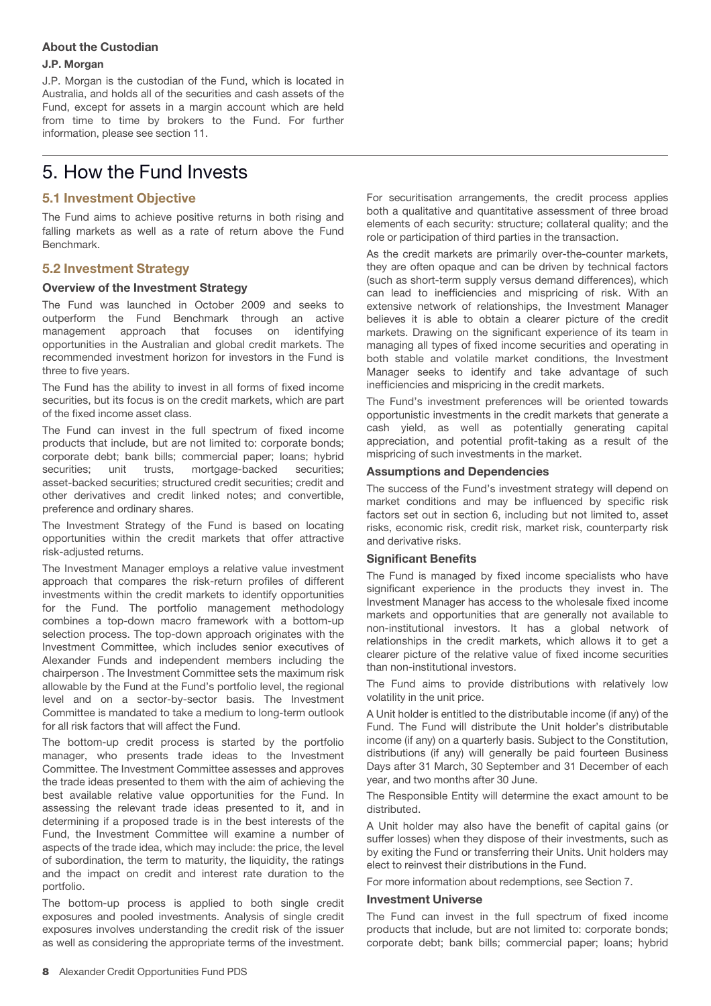# **About the Custodian**

#### **J.P. Morgan**

J.P. Morgan is the custodian of the Fund, which is located in Australia, and holds all of the securities and cash assets of the Fund, except for assets in a margin account which are held from time to time by brokers to the Fund. For further information, please see section 11.

# 5. How the Fund Invests

# **5.1 Investment Objective**

The Fund aims to achieve positive returns in both rising and falling markets as well as a rate of return above the Fund Benchmark.

# **5.2 Investment Strategy**

# **Overview of the Investment Strategy**

The Fund was launched in October 2009 and seeks to outperform the Fund Benchmark through an active management approach that focuses on identifying opportunities in the Australian and global credit markets. The recommended investment horizon for investors in the Fund is three to five years.

The Fund has the ability to invest in all forms of fixed income securities, but its focus is on the credit markets, which are part of the fixed income asset class.

The Fund can invest in the full spectrum of fixed income products that include, but are not limited to: corporate bonds; corporate debt; bank bills; commercial paper; loans; hybrid securities; unit trusts, mortgage-backed securities; asset-backed securities; structured credit securities; credit and other derivatives and credit linked notes; and convertible, preference and ordinary shares.

The Investment Strategy of the Fund is based on locating opportunities within the credit markets that offer attractive risk-adjusted returns.

The Investment Manager employs a relative value investment approach that compares the risk-return profiles of different investments within the credit markets to identify opportunities for the Fund. The portfolio management methodology combines a top-down macro framework with a bottom-up selection process. The top-down approach originates with the Investment Committee, which includes senior executives of Alexander Funds and independent members including the chairperson . The Investment Committee sets the maximum risk allowable by the Fund at the Fund's portfolio level, the regional level and on a sector-by-sector basis. The Investment Committee is mandated to take a medium to long-term outlook for all risk factors that will affect the Fund.

The bottom-up credit process is started by the portfolio manager, who presents trade ideas to the Investment Committee. The Investment Committee assesses and approves the trade ideas presented to them with the aim of achieving the best available relative value opportunities for the Fund. In assessing the relevant trade ideas presented to it, and in determining if a proposed trade is in the best interests of the Fund, the Investment Committee will examine a number of aspects of the trade idea, which may include: the price, the level of subordination, the term to maturity, the liquidity, the ratings and the impact on credit and interest rate duration to the portfolio.

The bottom-up process is applied to both single credit exposures and pooled investments. Analysis of single credit exposures involves understanding the credit risk of the issuer as well as considering the appropriate terms of the investment.

For securitisation arrangements, the credit process applies both a qualitative and quantitative assessment of three broad elements of each security: structure; collateral quality; and the role or participation of third parties in the transaction.

As the credit markets are primarily over-the-counter markets, they are often opaque and can be driven by technical factors (such as short-term supply versus demand differences), which can lead to inefficiencies and mispricing of risk. With an extensive network of relationships, the Investment Manager believes it is able to obtain a clearer picture of the credit markets. Drawing on the significant experience of its team in managing all types of fixed income securities and operating in both stable and volatile market conditions, the Investment Manager seeks to identify and take advantage of such inefficiencies and mispricing in the credit markets.

The Fund's investment preferences will be oriented towards opportunistic investments in the credit markets that generate a cash yield, as well as potentially generating capital appreciation, and potential profit-taking as a result of the mispricing of such investments in the market.

# **Assumptions and Dependencies**

The success of the Fund's investment strategy will depend on market conditions and may be influenced by specific risk factors set out in section 6, including but not limited to, asset risks, economic risk, credit risk, market risk, counterparty risk and derivative risks.

# **Significant Benefits**

The Fund is managed by fixed income specialists who have significant experience in the products they invest in. The Investment Manager has access to the wholesale fixed income markets and opportunities that are generally not available to non-institutional investors. It has a global network of relationships in the credit markets, which allows it to get a clearer picture of the relative value of fixed income securities than non-institutional investors.

The Fund aims to provide distributions with relatively low volatility in the unit price.

A Unit holder is entitled to the distributable income (if any) of the Fund. The Fund will distribute the Unit holder's distributable income (if any) on a quarterly basis. Subject to the Constitution, distributions (if any) will generally be paid fourteen Business Days after 31 March, 30 September and 31 December of each year, and two months after 30 June.

The Responsible Entity will determine the exact amount to be distributed.

A Unit holder may also have the benefit of capital gains (or suffer losses) when they dispose of their investments, such as by exiting the Fund or transferring their Units. Unit holders may elect to reinvest their distributions in the Fund.

For more information about redemptions, see Section 7.

#### **Investment Universe**

The Fund can invest in the full spectrum of fixed income products that include, but are not limited to: corporate bonds; corporate debt; bank bills; commercial paper; loans; hybrid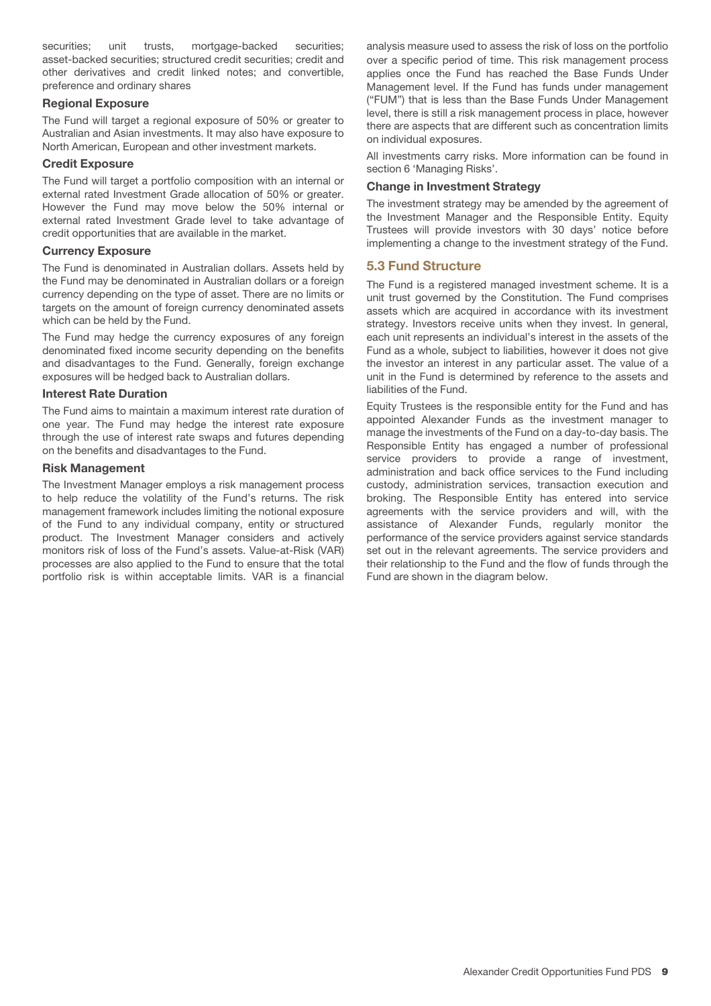securities; unit trusts, mortgage-backed securities; asset-backed securities; structured credit securities; credit and other derivatives and credit linked notes; and convertible, preference and ordinary shares

# **Regional Exposure**

The Fund will target a regional exposure of 50% or greater to Australian and Asian investments. It may also have exposure to North American, European and other investment markets.

# **Credit Exposure**

The Fund will target a portfolio composition with an internal or external rated Investment Grade allocation of 50% or greater. However the Fund may move below the 50% internal or external rated Investment Grade level to take advantage of credit opportunities that are available in the market.

# **Currency Exposure**

The Fund is denominated in Australian dollars. Assets held by the Fund may be denominated in Australian dollars or a foreign currency depending on the type of asset. There are no limits or targets on the amount of foreign currency denominated assets which can be held by the Fund.

The Fund may hedge the currency exposures of any foreign denominated fixed income security depending on the benefits and disadvantages to the Fund. Generally, foreign exchange exposures will be hedged back to Australian dollars.

# **Interest Rate Duration**

The Fund aims to maintain a maximum interest rate duration of one year. The Fund may hedge the interest rate exposure through the use of interest rate swaps and futures depending on the benefits and disadvantages to the Fund.

# **Risk Management**

The Investment Manager employs a risk management process to help reduce the volatility of the Fund's returns. The risk management framework includes limiting the notional exposure of the Fund to any individual company, entity or structured product. The Investment Manager considers and actively monitors risk of loss of the Fund's assets. Value-at-Risk (VAR) processes are also applied to the Fund to ensure that the total portfolio risk is within acceptable limits. VAR is a financial

analysis measure used to assess the risk of loss on the portfolio over a specific period of time. This risk management process applies once the Fund has reached the Base Funds Under Management level. If the Fund has funds under management ("FUM") that is less than the Base Funds Under Management level, there is still a risk management process in place, however there are aspects that are different such as concentration limits on individual exposures.

All investments carry risks. More information can be found in section 6 'Managing Risks'.

#### **Change in Investment Strategy**

The investment strategy may be amended by the agreement of the Investment Manager and the Responsible Entity. Equity Trustees will provide investors with 30 days' notice before implementing a change to the investment strategy of the Fund.

# **5.3 Fund Structure**

The Fund is a registered managed investment scheme. It is a unit trust governed by the Constitution. The Fund comprises assets which are acquired in accordance with its investment strategy. Investors receive units when they invest. In general, each unit represents an individual's interest in the assets of the Fund as a whole, subject to liabilities, however it does not give the investor an interest in any particular asset. The value of a unit in the Fund is determined by reference to the assets and liabilities of the Fund.

Equity Trustees is the responsible entity for the Fund and has appointed Alexander Funds as the investment manager to manage the investments of the Fund on a day-to-day basis. The Responsible Entity has engaged a number of professional service providers to provide a range of investment, administration and back office services to the Fund including custody, administration services, transaction execution and broking. The Responsible Entity has entered into service agreements with the service providers and will, with the assistance of Alexander Funds, regularly monitor the performance of the service providers against service standards set out in the relevant agreements. The service providers and their relationship to the Fund and the flow of funds through the Fund are shown in the diagram below.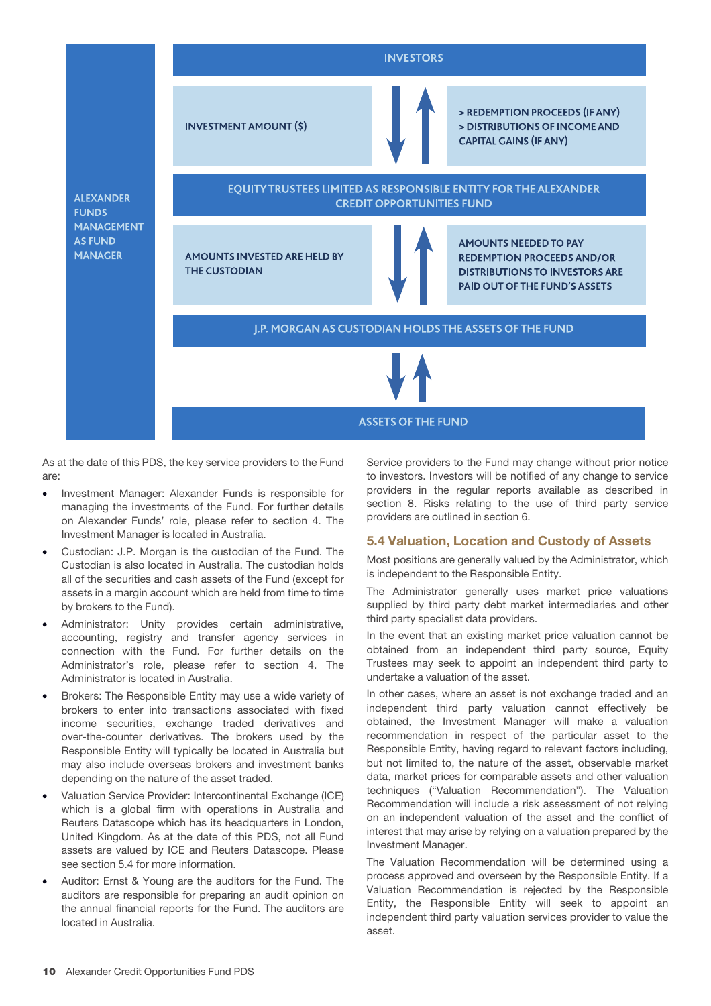# **INVESTORS**

**INVESTMENT AMOUNT (\$)** 

> REDEMPTION PROCEEDS (IF ANY) > DISTRIBUTIONS OF INCOME AND **CAPITAL GAINS (IF ANY)** 

**ALEXANDER FUNDS MANAGEMENT AS FUND MANAGER** 



AMOUNTS INVESTED ARE HELD BY **THE CUSTODIAN** 



AMOUNTS NEEDED TO PAY **REDEMPTION PROCEEDS AND/OR DISTRIBUTIONS TO INVESTORS ARE PAID OUT OF THE FUND'S ASSETS** 

J.P. MORGAN AS CUSTODIAN HOLDS THE ASSETS OF THE FUND

**ASSETS OF THE FUND** 

As at the date of this PDS, the key service providers to the Fund are:

- Investment Manager: Alexander Funds is responsible for managing the investments of the Fund. For further details on Alexander Funds' role, please refer to section 4. The Investment Manager is located in Australia.
- Custodian: J.P. Morgan is the custodian of the Fund. The Custodian is also located in Australia. The custodian holds all of the securities and cash assets of the Fund (except for assets in a margin account which are held from time to time by brokers to the Fund).
- Administrator: Unity provides certain administrative, accounting, registry and transfer agency services in connection with the Fund. For further details on the Administrator's role, please refer to section 4. The Administrator is located in Australia.
- Brokers: The Responsible Entity may use a wide variety of brokers to enter into transactions associated with fixed income securities, exchange traded derivatives and over-the-counter derivatives. The brokers used by the Responsible Entity will typically be located in Australia but may also include overseas brokers and investment banks depending on the nature of the asset traded.
- Valuation Service Provider: Intercontinental Exchange (ICE) which is a global firm with operations in Australia and Reuters Datascope which has its headquarters in London, United Kingdom. As at the date of this PDS, not all Fund assets are valued by ICE and Reuters Datascope. Please see section 5.4 for more information.
- Auditor: Ernst & Young are the auditors for the Fund. The auditors are responsible for preparing an audit opinion on the annual financial reports for the Fund. The auditors are located in Australia.

Service providers to the Fund may change without prior notice to investors. Investors will be notified of any change to service providers in the regular reports available as described in section 8. Risks relating to the use of third party service providers are outlined in section 6.

# **5.4 Valuation, Location and Custody of Assets**

Most positions are generally valued by the Administrator, which is independent to the Responsible Entity.

The Administrator generally uses market price valuations supplied by third party debt market intermediaries and other third party specialist data providers.

In the event that an existing market price valuation cannot be obtained from an independent third party source, Equity Trustees may seek to appoint an independent third party to undertake a valuation of the asset.

In other cases, where an asset is not exchange traded and an independent third party valuation cannot effectively be obtained, the Investment Manager will make a valuation recommendation in respect of the particular asset to the Responsible Entity, having regard to relevant factors including, but not limited to, the nature of the asset, observable market data, market prices for comparable assets and other valuation techniques ("Valuation Recommendation"). The Valuation Recommendation will include a risk assessment of not relying on an independent valuation of the asset and the conflict of interest that may arise by relying on a valuation prepared by the Investment Manager.

The Valuation Recommendation will be determined using a process approved and overseen by the Responsible Entity. If a Valuation Recommendation is rejected by the Responsible Entity, the Responsible Entity will seek to appoint an independent third party valuation services provider to value the asset.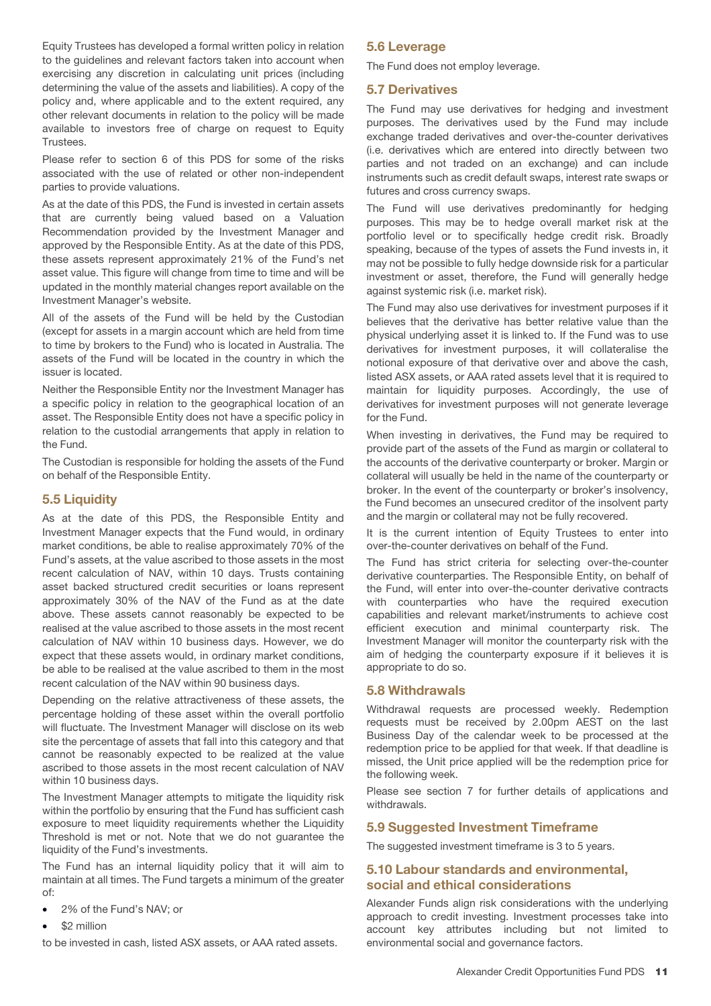Equity Trustees has developed a formal written policy in relation to the guidelines and relevant factors taken into account when exercising any discretion in calculating unit prices (including determining the value of the assets and liabilities). A copy of the policy and, where applicable and to the extent required, any other relevant documents in relation to the policy will be made available to investors free of charge on request to Equity Trustees.

Please refer to section 6 of this PDS for some of the risks associated with the use of related or other non-independent parties to provide valuations.

As at the date of this PDS, the Fund is invested in certain assets that are currently being valued based on a Valuation Recommendation provided by the Investment Manager and approved by the Responsible Entity. As at the date of this PDS, these assets represent approximately 21% of the Fund's net asset value. This figure will change from time to time and will be updated in the monthly material changes report available on the Investment Manager's website.

All of the assets of the Fund will be held by the Custodian (except for assets in a margin account which are held from time to time by brokers to the Fund) who is located in Australia. The assets of the Fund will be located in the country in which the issuer is located.

Neither the Responsible Entity nor the Investment Manager has a specific policy in relation to the geographical location of an asset. The Responsible Entity does not have a specific policy in relation to the custodial arrangements that apply in relation to the Fund.

The Custodian is responsible for holding the assets of the Fund on behalf of the Responsible Entity.

# **5.5 Liquidity**

As at the date of this PDS, the Responsible Entity and Investment Manager expects that the Fund would, in ordinary market conditions, be able to realise approximately 70% of the Fund's assets, at the value ascribed to those assets in the most recent calculation of NAV, within 10 days. Trusts containing asset backed structured credit securities or loans represent approximately 30% of the NAV of the Fund as at the date above. These assets cannot reasonably be expected to be realised at the value ascribed to those assets in the most recent calculation of NAV within 10 business days. However, we do expect that these assets would, in ordinary market conditions, be able to be realised at the value ascribed to them in the most recent calculation of the NAV within 90 business days.

Depending on the relative attractiveness of these assets, the percentage holding of these asset within the overall portfolio will fluctuate. The Investment Manager will disclose on its web site the percentage of assets that fall into this category and that cannot be reasonably expected to be realized at the value ascribed to those assets in the most recent calculation of NAV within 10 business days.

The Investment Manager attempts to mitigate the liquidity risk within the portfolio by ensuring that the Fund has sufficient cash exposure to meet liquidity requirements whether the Liquidity Threshold is met or not. Note that we do not guarantee the liquidity of the Fund's investments.

The Fund has an internal liquidity policy that it will aim to maintain at all times. The Fund targets a minimum of the greater of:

- 2% of the Fund's NAV; or
- \$2 million

to be invested in cash, listed ASX assets, or AAA rated assets.

# **5.6 Leverage**

The Fund does not employ leverage.

#### **5.7 Derivatives**

The Fund may use derivatives for hedging and investment purposes. The derivatives used by the Fund may include exchange traded derivatives and over-the-counter derivatives (i.e. derivatives which are entered into directly between two parties and not traded on an exchange) and can include instruments such as credit default swaps, interest rate swaps or futures and cross currency swaps.

The Fund will use derivatives predominantly for hedging purposes. This may be to hedge overall market risk at the portfolio level or to specifically hedge credit risk. Broadly speaking, because of the types of assets the Fund invests in, it may not be possible to fully hedge downside risk for a particular investment or asset, therefore, the Fund will generally hedge against systemic risk (i.e. market risk).

The Fund may also use derivatives for investment purposes if it believes that the derivative has better relative value than the physical underlying asset it is linked to. If the Fund was to use derivatives for investment purposes, it will collateralise the notional exposure of that derivative over and above the cash, listed ASX assets, or AAA rated assets level that it is required to maintain for liquidity purposes. Accordingly, the use of derivatives for investment purposes will not generate leverage for the Fund.

When investing in derivatives, the Fund may be required to provide part of the assets of the Fund as margin or collateral to the accounts of the derivative counterparty or broker. Margin or collateral will usually be held in the name of the counterparty or broker. In the event of the counterparty or broker's insolvency, the Fund becomes an unsecured creditor of the insolvent party and the margin or collateral may not be fully recovered.

It is the current intention of Equity Trustees to enter into over-the-counter derivatives on behalf of the Fund.

The Fund has strict criteria for selecting over-the-counter derivative counterparties. The Responsible Entity, on behalf of the Fund, will enter into over-the-counter derivative contracts with counterparties who have the required execution capabilities and relevant market/instruments to achieve cost efficient execution and minimal counterparty risk. The Investment Manager will monitor the counterparty risk with the aim of hedging the counterparty exposure if it believes it is appropriate to do so.

# **5.8 Withdrawals**

Withdrawal requests are processed weekly. Redemption requests must be received by 2.00pm AEST on the last Business Day of the calendar week to be processed at the redemption price to be applied for that week. If that deadline is missed, the Unit price applied will be the redemption price for the following week.

Please see section 7 for further details of applications and withdrawals.

# **5.9 Suggested Investment Timeframe**

The suggested investment timeframe is 3 to 5 years.

# **5.10 Labour standards and environmental, social and ethical considerations**

Alexander Funds align risk considerations with the underlying approach to credit investing. Investment processes take into account key attributes including but not limited to environmental social and governance factors.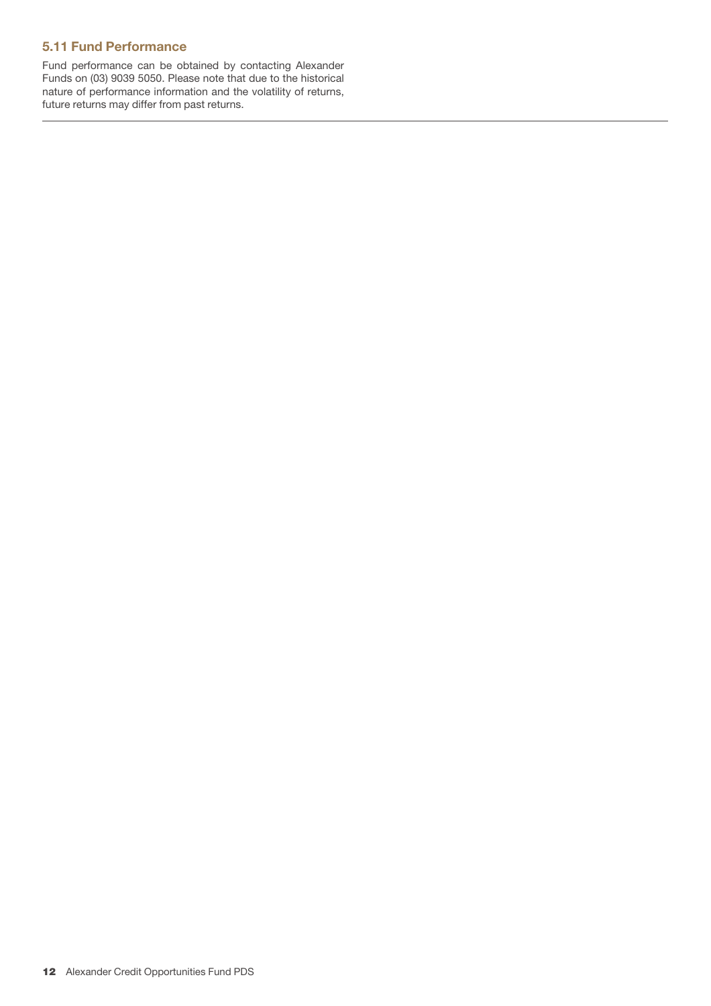# **5.11 Fund Performance**

Fund performance can be obtained by contacting Alexander Funds on (03) 9039 5050. Please note that due to the historical nature of performance information and the volatility of returns, future returns may differ from past returns.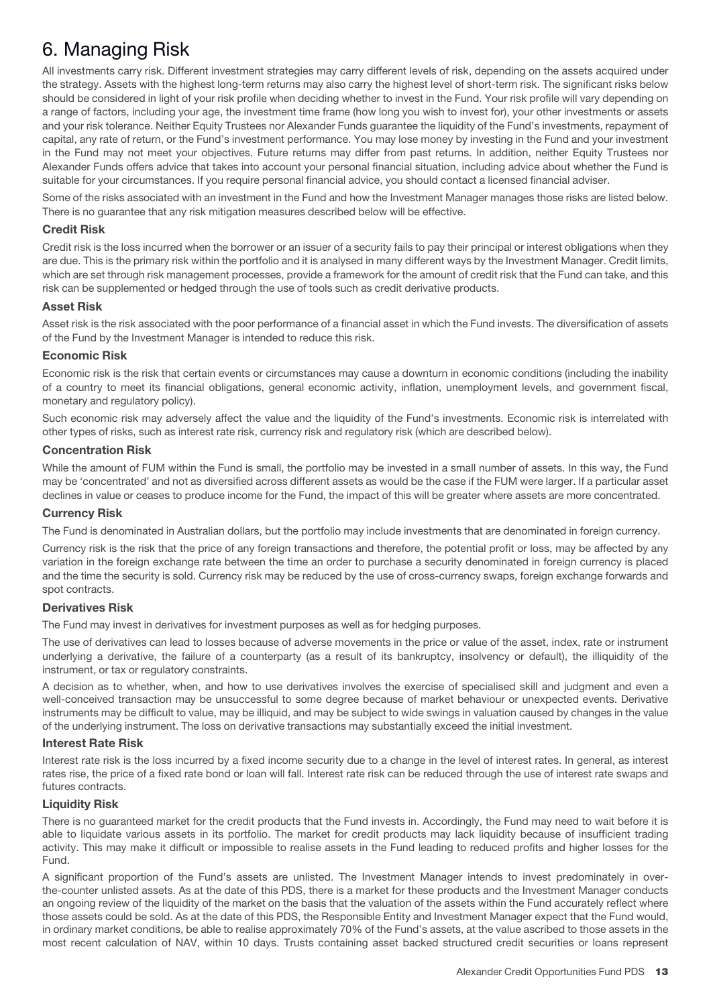# 6. Managing Risk

All investments carry risk. Different investment strategies may carry different levels of risk, depending on the assets acquired under the strategy. Assets with the highest long-term returns may also carry the highest level of short-term risk. The significant risks below should be considered in light of your risk profile when deciding whether to invest in the Fund. Your risk profile will vary depending on a range of factors, including your age, the investment time frame (how long you wish to invest for), your other investments or assets and your risk tolerance. Neither Equity Trustees nor Alexander Funds guarantee the liquidity of the Fund's investments, repayment of capital, any rate of return, or the Fund's investment performance. You may lose money by investing in the Fund and your investment in the Fund may not meet your objectives. Future returns may differ from past returns. In addition, neither Equity Trustees nor Alexander Funds offers advice that takes into account your personal financial situation, including advice about whether the Fund is suitable for your circumstances. If you require personal financial advice, you should contact a licensed financial adviser.

Some of the risks associated with an investment in the Fund and how the Investment Manager manages those risks are listed below. There is no guarantee that any risk mitigation measures described below will be effective.

# **Credit Risk**

Credit risk is the loss incurred when the borrower or an issuer of a security fails to pay their principal or interest obligations when they are due. This is the primary risk within the portfolio and it is analysed in many different ways by the Investment Manager. Credit limits, which are set through risk management processes, provide a framework for the amount of credit risk that the Fund can take, and this risk can be supplemented or hedged through the use of tools such as credit derivative products.

# **Asset Risk**

Asset risk is the risk associated with the poor performance of a financial asset in which the Fund invests. The diversification of assets of the Fund by the Investment Manager is intended to reduce this risk.

# **Economic Risk**

Economic risk is the risk that certain events or circumstances may cause a downturn in economic conditions (including the inability of a country to meet its financial obligations, general economic activity, inflation, unemployment levels, and government fiscal, monetary and regulatory policy).

Such economic risk may adversely affect the value and the liquidity of the Fund's investments. Economic risk is interrelated with other types of risks, such as interest rate risk, currency risk and regulatory risk (which are described below).

# **Concentration Risk**

While the amount of FUM within the Fund is small, the portfolio may be invested in a small number of assets. In this way, the Fund may be 'concentrated' and not as diversified across different assets as would be the case if the FUM were larger. If a particular asset declines in value or ceases to produce income for the Fund, the impact of this will be greater where assets are more concentrated.

# **Currency Risk**

The Fund is denominated in Australian dollars, but the portfolio may include investments that are denominated in foreign currency.

Currency risk is the risk that the price of any foreign transactions and therefore, the potential profit or loss, may be affected by any variation in the foreign exchange rate between the time an order to purchase a security denominated in foreign currency is placed and the time the security is sold. Currency risk may be reduced by the use of cross-currency swaps, foreign exchange forwards and spot contracts.

# **Derivatives Risk**

The Fund may invest in derivatives for investment purposes as well as for hedging purposes.

The use of derivatives can lead to losses because of adverse movements in the price or value of the asset, index, rate or instrument underlying a derivative, the failure of a counterparty (as a result of its bankruptcy, insolvency or default), the illiquidity of the instrument, or tax or regulatory constraints.

A decision as to whether, when, and how to use derivatives involves the exercise of specialised skill and judgment and even a well-conceived transaction may be unsuccessful to some degree because of market behaviour or unexpected events. Derivative instruments may be difficult to value, may be illiquid, and may be subject to wide swings in valuation caused by changes in the value of the underlying instrument. The loss on derivative transactions may substantially exceed the initial investment.

# **Interest Rate Risk**

Interest rate risk is the loss incurred by a fixed income security due to a change in the level of interest rates. In general, as interest rates rise, the price of a fixed rate bond or loan will fall. Interest rate risk can be reduced through the use of interest rate swaps and futures contracts.

# **Liquidity Risk**

There is no guaranteed market for the credit products that the Fund invests in. Accordingly, the Fund may need to wait before it is able to liquidate various assets in its portfolio. The market for credit products may lack liquidity because of insufficient trading activity. This may make it difficult or impossible to realise assets in the Fund leading to reduced profits and higher losses for the Fund.

A significant proportion of the Fund's assets are unlisted. The Investment Manager intends to invest predominately in overthe-counter unlisted assets. As at the date of this PDS, there is a market for these products and the Investment Manager conducts an ongoing review of the liquidity of the market on the basis that the valuation of the assets within the Fund accurately reflect where those assets could be sold. As at the date of this PDS, the Responsible Entity and Investment Manager expect that the Fund would, in ordinary market conditions, be able to realise approximately 70% of the Fund's assets, at the value ascribed to those assets in the most recent calculation of NAV, within 10 days. Trusts containing asset backed structured credit securities or loans represent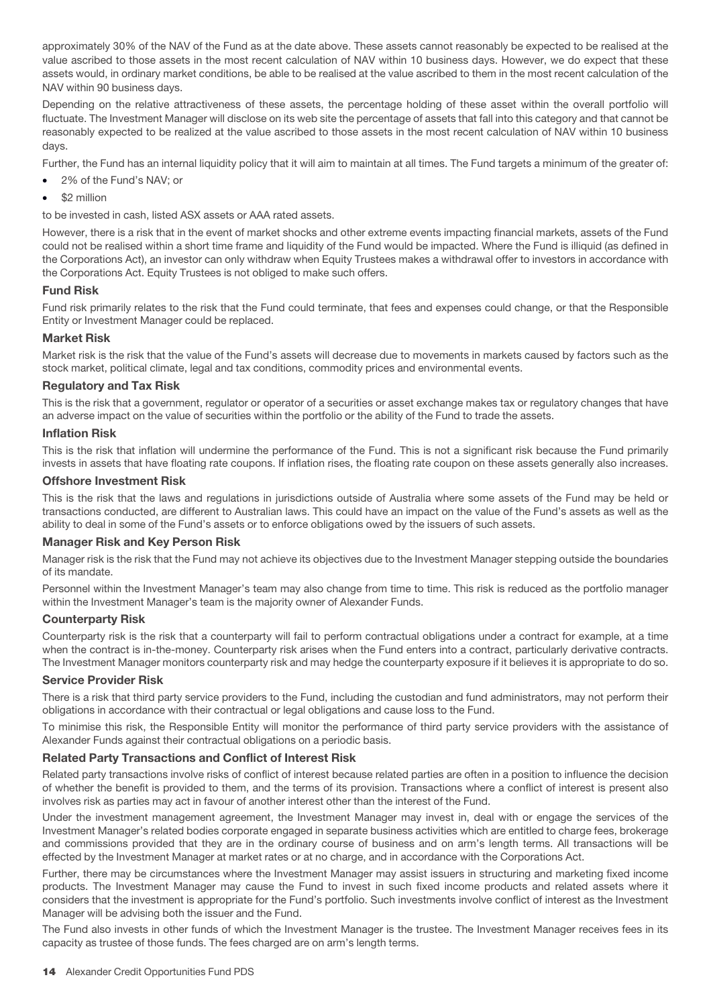approximately 30% of the NAV of the Fund as at the date above. These assets cannot reasonably be expected to be realised at the value ascribed to those assets in the most recent calculation of NAV within 10 business days. However, we do expect that these assets would, in ordinary market conditions, be able to be realised at the value ascribed to them in the most recent calculation of the NAV within 90 business days.

Depending on the relative attractiveness of these assets, the percentage holding of these asset within the overall portfolio will fluctuate. The Investment Manager will disclose on its web site the percentage of assets that fall into this category and that cannot be reasonably expected to be realized at the value ascribed to those assets in the most recent calculation of NAV within 10 business days.

Further, the Fund has an internal liquidity policy that it will aim to maintain at all times. The Fund targets a minimum of the greater of:

- 2% of the Fund's NAV; or
- \$2 million

to be invested in cash, listed ASX assets or AAA rated assets.

However, there is a risk that in the event of market shocks and other extreme events impacting financial markets, assets of the Fund could not be realised within a short time frame and liquidity of the Fund would be impacted. Where the Fund is illiquid (as defined in the Corporations Act), an investor can only withdraw when Equity Trustees makes a withdrawal offer to investors in accordance with the Corporations Act. Equity Trustees is not obliged to make such offers.

#### **Fund Risk**

Fund risk primarily relates to the risk that the Fund could terminate, that fees and expenses could change, or that the Responsible Entity or Investment Manager could be replaced.

#### **Market Risk**

Market risk is the risk that the value of the Fund's assets will decrease due to movements in markets caused by factors such as the stock market, political climate, legal and tax conditions, commodity prices and environmental events.

#### **Regulatory and Tax Risk**

This is the risk that a government, regulator or operator of a securities or asset exchange makes tax or regulatory changes that have an adverse impact on the value of securities within the portfolio or the ability of the Fund to trade the assets.

#### **Inflation Risk**

This is the risk that inflation will undermine the performance of the Fund. This is not a significant risk because the Fund primarily invests in assets that have floating rate coupons. If inflation rises, the floating rate coupon on these assets generally also increases.

#### **Offshore Investment Risk**

This is the risk that the laws and regulations in jurisdictions outside of Australia where some assets of the Fund may be held or transactions conducted, are different to Australian laws. This could have an impact on the value of the Fund's assets as well as the ability to deal in some of the Fund's assets or to enforce obligations owed by the issuers of such assets.

#### **Manager Risk and Key Person Risk**

Manager risk is the risk that the Fund may not achieve its objectives due to the Investment Manager stepping outside the boundaries of its mandate.

Personnel within the Investment Manager's team may also change from time to time. This risk is reduced as the portfolio manager within the Investment Manager's team is the majority owner of Alexander Funds.

#### **Counterparty Risk**

Counterparty risk is the risk that a counterparty will fail to perform contractual obligations under a contract for example, at a time when the contract is in-the-money. Counterparty risk arises when the Fund enters into a contract, particularly derivative contracts. The Investment Manager monitors counterparty risk and may hedge the counterparty exposure if it believes it is appropriate to do so.

#### **Service Provider Risk**

There is a risk that third party service providers to the Fund, including the custodian and fund administrators, may not perform their obligations in accordance with their contractual or legal obligations and cause loss to the Fund.

To minimise this risk, the Responsible Entity will monitor the performance of third party service providers with the assistance of Alexander Funds against their contractual obligations on a periodic basis.

# **Related Party Transactions and Conflict of Interest Risk**

Related party transactions involve risks of conflict of interest because related parties are often in a position to influence the decision of whether the benefit is provided to them, and the terms of its provision. Transactions where a conflict of interest is present also involves risk as parties may act in favour of another interest other than the interest of the Fund.

Under the investment management agreement, the Investment Manager may invest in, deal with or engage the services of the Investment Manager's related bodies corporate engaged in separate business activities which are entitled to charge fees, brokerage and commissions provided that they are in the ordinary course of business and on arm's length terms. All transactions will be effected by the Investment Manager at market rates or at no charge, and in accordance with the Corporations Act.

Further, there may be circumstances where the Investment Manager may assist issuers in structuring and marketing fixed income products. The Investment Manager may cause the Fund to invest in such fixed income products and related assets where it considers that the investment is appropriate for the Fund's portfolio. Such investments involve conflict of interest as the Investment Manager will be advising both the issuer and the Fund.

The Fund also invests in other funds of which the Investment Manager is the trustee. The Investment Manager receives fees in its capacity as trustee of those funds. The fees charged are on arm's length terms.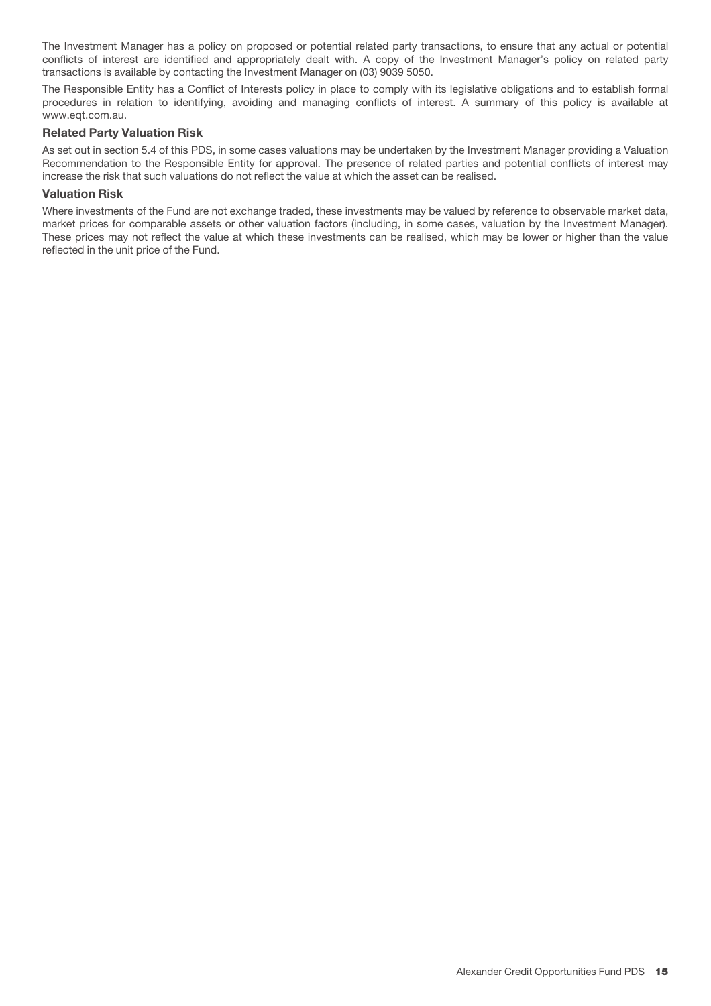The Investment Manager has a policy on proposed or potential related party transactions, to ensure that any actual or potential conflicts of interest are identified and appropriately dealt with. A copy of the Investment Manager's policy on related party transactions is available by contacting the Investment Manager on (03) 9039 5050.

The Responsible Entity has a Conflict of Interests policy in place to comply with its legislative obligations and to establish formal procedures in relation to identifying, avoiding and managing conflicts of interest. A summary of this policy is available at www.eqt.com.au.

#### **Related Party Valuation Risk**

As set out in section 5.4 of this PDS, in some cases valuations may be undertaken by the Investment Manager providing a Valuation Recommendation to the Responsible Entity for approval. The presence of related parties and potential conflicts of interest may increase the risk that such valuations do not reflect the value at which the asset can be realised.

#### **Valuation Risk**

Where investments of the Fund are not exchange traded, these investments may be valued by reference to observable market data, market prices for comparable assets or other valuation factors (including, in some cases, valuation by the Investment Manager). These prices may not reflect the value at which these investments can be realised, which may be lower or higher than the value reflected in the unit price of the Fund.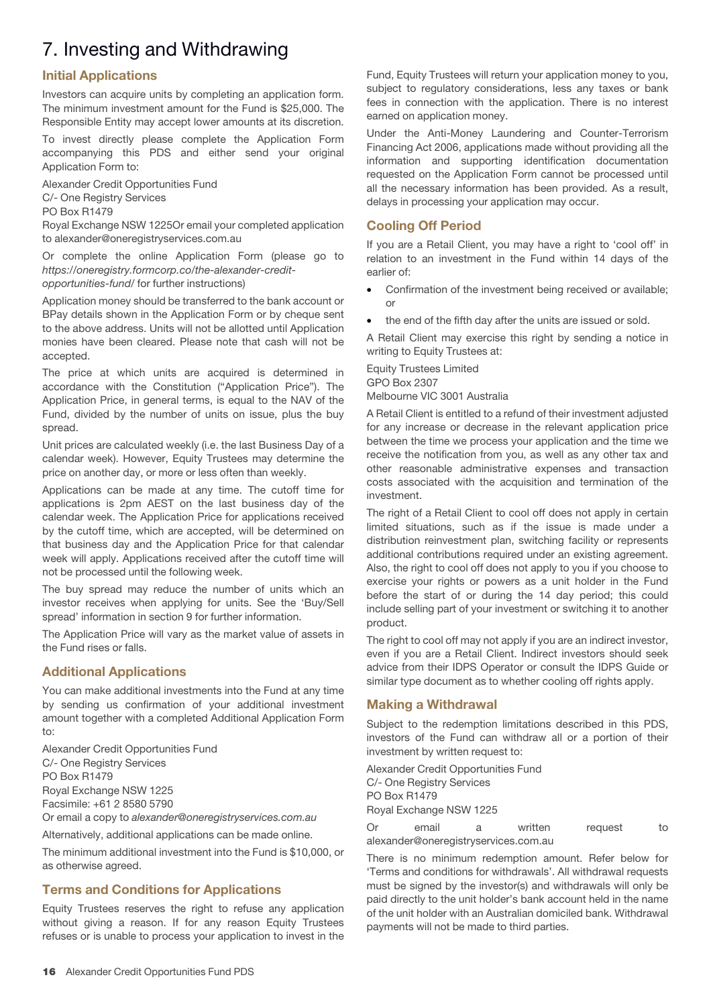# 7. Investing and Withdrawing

# **Initial Applications**

Investors can acquire units by completing an application form. The minimum investment amount for the Fund is \$25,000. The Responsible Entity may accept lower amounts at its discretion.

To invest directly please complete the Application Form accompanying this PDS and either send your original Application Form to:

Alexander Credit Opportunities Fund

C/- One Registry Services

PO Box R1479

Royal Exchange NSW 1225Or email your completed application to alexander@oneregistryservices.com.au

Or complete the online Application Form (please go to https://oneregistry.formcorp.co/the-alexander-creditopportunities-fund/ for further instructions)

Application money should be transferred to the bank account or BPay details shown in the Application Form or by cheque sent to the above address. Units will not be allotted until Application monies have been cleared. Please note that cash will not be accepted.

The price at which units are acquired is determined in accordance with the Constitution ("Application Price"). The Application Price, in general terms, is equal to the NAV of the Fund, divided by the number of units on issue, plus the buy spread.

Unit prices are calculated weekly (i.e. the last Business Day of a calendar week). However, Equity Trustees may determine the price on another day, or more or less often than weekly.

Applications can be made at any time. The cutoff time for applications is 2pm AEST on the last business day of the calendar week. The Application Price for applications received by the cutoff time, which are accepted, will be determined on that business day and the Application Price for that calendar week will apply. Applications received after the cutoff time will not be processed until the following week.

The buy spread may reduce the number of units which an investor receives when applying for units. See the 'Buy/Sell spread' information in section 9 for further information.

The Application Price will vary as the market value of assets in the Fund rises or falls.

# **Additional Applications**

You can make additional investments into the Fund at any time by sending us confirmation of your additional investment amount together with a completed Additional Application Form to:

Alexander Credit Opportunities Fund C/- One Registry Services PO Box R1479 Royal Exchange NSW 1225 Facsimile: +61 2 8580 5790

Or email a copy to alexander@oneregistryservices.com.au

Alternatively, additional applications can be made online.

The minimum additional investment into the Fund is \$10,000, or as otherwise agreed.

# **Terms and Conditions for Applications**

Equity Trustees reserves the right to refuse any application without giving a reason. If for any reason Equity Trustees refuses or is unable to process your application to invest in the

Fund, Equity Trustees will return your application money to you, subject to regulatory considerations, less any taxes or bank fees in connection with the application. There is no interest earned on application money.

Under the Anti-Money Laundering and Counter-Terrorism Financing Act 2006, applications made without providing all the information and supporting identification documentation requested on the Application Form cannot be processed until all the necessary information has been provided. As a result, delays in processing your application may occur.

# **Cooling Off Period**

If you are a Retail Client, you may have a right to 'cool off' in relation to an investment in the Fund within 14 days of the earlier of:

- Confirmation of the investment being received or available; or
- the end of the fifth day after the units are issued or sold.

A Retail Client may exercise this right by sending a notice in writing to Equity Trustees at:

#### Equity Trustees Limited GPO Box 2307 Melbourne VIC 3001 Australia

A Retail Client is entitled to a refund of their investment adjusted for any increase or decrease in the relevant application price between the time we process your application and the time we receive the notification from you, as well as any other tax and other reasonable administrative expenses and transaction costs associated with the acquisition and termination of the investment.

The right of a Retail Client to cool off does not apply in certain limited situations, such as if the issue is made under a distribution reinvestment plan, switching facility or represents additional contributions required under an existing agreement. Also, the right to cool off does not apply to you if you choose to exercise your rights or powers as a unit holder in the Fund before the start of or during the 14 day period; this could include selling part of your investment or switching it to another product.

The right to cool off may not apply if you are an indirect investor, even if you are a Retail Client. Indirect investors should seek advice from their IDPS Operator or consult the IDPS Guide or similar type document as to whether cooling off rights apply.

# **Making a Withdrawal**

Subject to the redemption limitations described in this PDS, investors of the Fund can withdraw all or a portion of their investment by written request to:

Alexander Credit Opportunities Fund C/- One Registry Services PO Box R1479 Royal Exchange NSW 1225

Or email a written request to alexander@oneregistryservices.com.au

There is no minimum redemption amount. Refer below for 'Terms and conditions for withdrawals'. All withdrawal requests must be signed by the investor(s) and withdrawals will only be paid directly to the unit holder's bank account held in the name of the unit holder with an Australian domiciled bank. Withdrawal payments will not be made to third parties.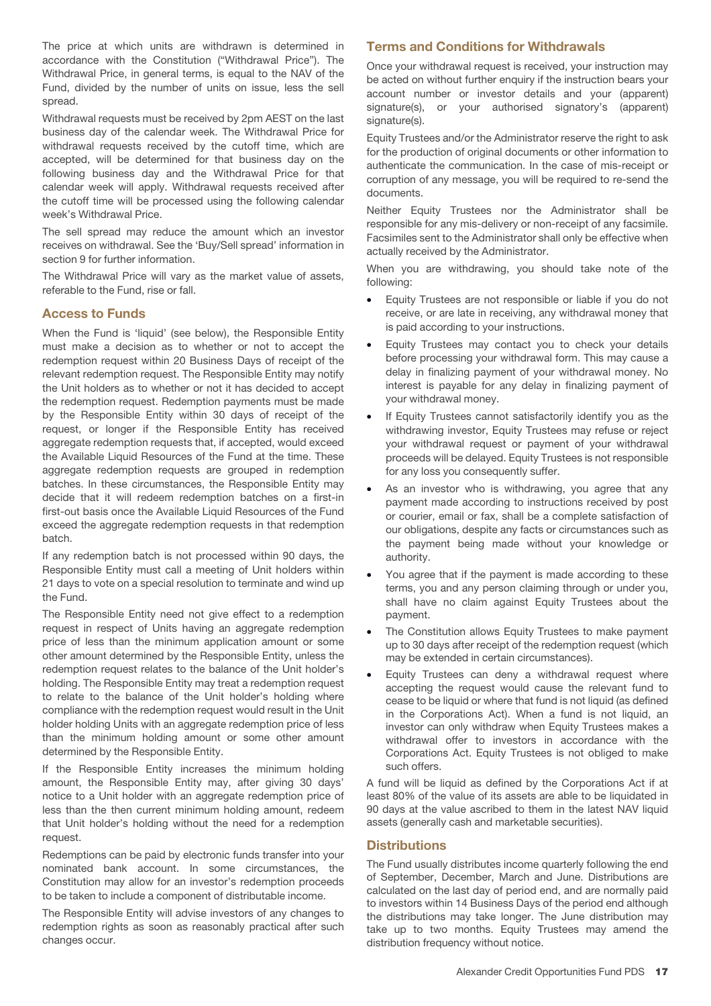The price at which units are withdrawn is determined in accordance with the Constitution ("Withdrawal Price"). The Withdrawal Price, in general terms, is equal to the NAV of the Fund, divided by the number of units on issue, less the sell spread.

Withdrawal requests must be received by 2pm AEST on the last business day of the calendar week. The Withdrawal Price for withdrawal requests received by the cutoff time, which are accepted, will be determined for that business day on the following business day and the Withdrawal Price for that calendar week will apply. Withdrawal requests received after the cutoff time will be processed using the following calendar week's Withdrawal Price.

The sell spread may reduce the amount which an investor receives on withdrawal. See the 'Buy/Sell spread' information in section 9 for further information.

The Withdrawal Price will vary as the market value of assets, referable to the Fund, rise or fall.

# **Access to Funds**

When the Fund is 'liquid' (see below), the Responsible Entity must make a decision as to whether or not to accept the redemption request within 20 Business Days of receipt of the relevant redemption request. The Responsible Entity may notify the Unit holders as to whether or not it has decided to accept the redemption request. Redemption payments must be made by the Responsible Entity within 30 days of receipt of the request, or longer if the Responsible Entity has received aggregate redemption requests that, if accepted, would exceed the Available Liquid Resources of the Fund at the time. These aggregate redemption requests are grouped in redemption batches. In these circumstances, the Responsible Entity may decide that it will redeem redemption batches on a first-in first-out basis once the Available Liquid Resources of the Fund exceed the aggregate redemption requests in that redemption batch.

If any redemption batch is not processed within 90 days, the Responsible Entity must call a meeting of Unit holders within 21 days to vote on a special resolution to terminate and wind up the Fund.

The Responsible Entity need not give effect to a redemption request in respect of Units having an aggregate redemption price of less than the minimum application amount or some other amount determined by the Responsible Entity, unless the redemption request relates to the balance of the Unit holder's holding. The Responsible Entity may treat a redemption request to relate to the balance of the Unit holder's holding where compliance with the redemption request would result in the Unit holder holding Units with an aggregate redemption price of less than the minimum holding amount or some other amount determined by the Responsible Entity.

If the Responsible Entity increases the minimum holding amount, the Responsible Entity may, after giving 30 days' notice to a Unit holder with an aggregate redemption price of less than the then current minimum holding amount, redeem that Unit holder's holding without the need for a redemption request.

Redemptions can be paid by electronic funds transfer into your nominated bank account. In some circumstances, the Constitution may allow for an investor's redemption proceeds to be taken to include a component of distributable income.

The Responsible Entity will advise investors of any changes to redemption rights as soon as reasonably practical after such changes occur.

# **Terms and Conditions for Withdrawals**

Once your withdrawal request is received, your instruction may be acted on without further enquiry if the instruction bears your account number or investor details and your (apparent) signature(s), or your authorised signatory's (apparent) signature(s).

Equity Trustees and/or the Administrator reserve the right to ask for the production of original documents or other information to authenticate the communication. In the case of mis-receipt or corruption of any message, you will be required to re-send the documents.

Neither Equity Trustees nor the Administrator shall be responsible for any mis-delivery or non-receipt of any facsimile. Facsimiles sent to the Administrator shall only be effective when actually received by the Administrator.

When you are withdrawing, you should take note of the following:

- Equity Trustees are not responsible or liable if you do not receive, or are late in receiving, any withdrawal money that is paid according to your instructions.
- Equity Trustees may contact you to check your details before processing your withdrawal form. This may cause a delay in finalizing payment of your withdrawal money. No interest is payable for any delay in finalizing payment of your withdrawal money.
- If Equity Trustees cannot satisfactorily identify you as the withdrawing investor, Equity Trustees may refuse or reject your withdrawal request or payment of your withdrawal proceeds will be delayed. Equity Trustees is not responsible for any loss you consequently suffer.
- As an investor who is withdrawing, you agree that any payment made according to instructions received by post or courier, email or fax, shall be a complete satisfaction of our obligations, despite any facts or circumstances such as the payment being made without your knowledge or authority.
- You agree that if the payment is made according to these terms, you and any person claiming through or under you, shall have no claim against Equity Trustees about the payment.
- The Constitution allows Equity Trustees to make payment up to 30 days after receipt of the redemption request (which may be extended in certain circumstances).
- Equity Trustees can deny a withdrawal request where accepting the request would cause the relevant fund to cease to be liquid or where that fund is not liquid (as defined in the Corporations Act). When a fund is not liquid, an investor can only withdraw when Equity Trustees makes a withdrawal offer to investors in accordance with the Corporations Act. Equity Trustees is not obliged to make such offers.

A fund will be liquid as defined by the Corporations Act if at least 80% of the value of its assets are able to be liquidated in 90 days at the value ascribed to them in the latest NAV liquid assets (generally cash and marketable securities).

# **Distributions**

The Fund usually distributes income quarterly following the end of September, December, March and June. Distributions are calculated on the last day of period end, and are normally paid to investors within 14 Business Days of the period end although the distributions may take longer. The June distribution may take up to two months. Equity Trustees may amend the distribution frequency without notice.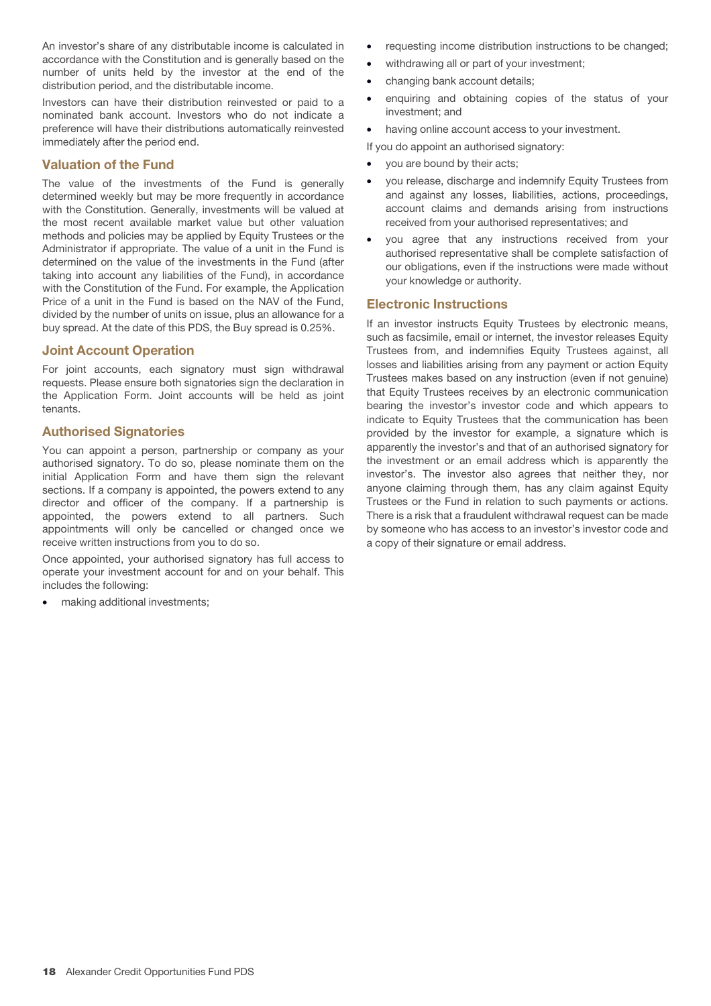An investor's share of any distributable income is calculated in accordance with the Constitution and is generally based on the number of units held by the investor at the end of the distribution period, and the distributable income.

Investors can have their distribution reinvested or paid to a nominated bank account. Investors who do not indicate a preference will have their distributions automatically reinvested immediately after the period end.

# **Valuation of the Fund**

The value of the investments of the Fund is generally determined weekly but may be more frequently in accordance with the Constitution. Generally, investments will be valued at the most recent available market value but other valuation methods and policies may be applied by Equity Trustees or the Administrator if appropriate. The value of a unit in the Fund is determined on the value of the investments in the Fund (after taking into account any liabilities of the Fund), in accordance with the Constitution of the Fund. For example, the Application Price of a unit in the Fund is based on the NAV of the Fund, divided by the number of units on issue, plus an allowance for a buy spread. At the date of this PDS, the Buy spread is 0.25%.

# **Joint Account Operation**

For joint accounts, each signatory must sign withdrawal requests. Please ensure both signatories sign the declaration in the Application Form. Joint accounts will be held as joint tenants.

# **Authorised Signatories**

You can appoint a person, partnership or company as your authorised signatory. To do so, please nominate them on the initial Application Form and have them sign the relevant sections. If a company is appointed, the powers extend to any director and officer of the company. If a partnership is appointed, the powers extend to all partners. Such appointments will only be cancelled or changed once we receive written instructions from you to do so.

Once appointed, your authorised signatory has full access to operate your investment account for and on your behalf. This includes the following:

making additional investments;

- requesting income distribution instructions to be changed;
- withdrawing all or part of your investment;
- changing bank account details;
- enquiring and obtaining copies of the status of your investment; and
- having online account access to your investment.
- If you do appoint an authorised signatory:
- you are bound by their acts;
- you release, discharge and indemnify Equity Trustees from and against any losses, liabilities, actions, proceedings, account claims and demands arising from instructions received from your authorised representatives; and
- you agree that any instructions received from your authorised representative shall be complete satisfaction of our obligations, even if the instructions were made without your knowledge or authority.

# **Electronic Instructions**

If an investor instructs Equity Trustees by electronic means, such as facsimile, email or internet, the investor releases Equity Trustees from, and indemnifies Equity Trustees against, all losses and liabilities arising from any payment or action Equity Trustees makes based on any instruction (even if not genuine) that Equity Trustees receives by an electronic communication bearing the investor's investor code and which appears to indicate to Equity Trustees that the communication has been provided by the investor for example, a signature which is apparently the investor's and that of an authorised signatory for the investment or an email address which is apparently the investor's. The investor also agrees that neither they, nor anyone claiming through them, has any claim against Equity Trustees or the Fund in relation to such payments or actions. There is a risk that a fraudulent withdrawal request can be made by someone who has access to an investor's investor code and a copy of their signature or email address.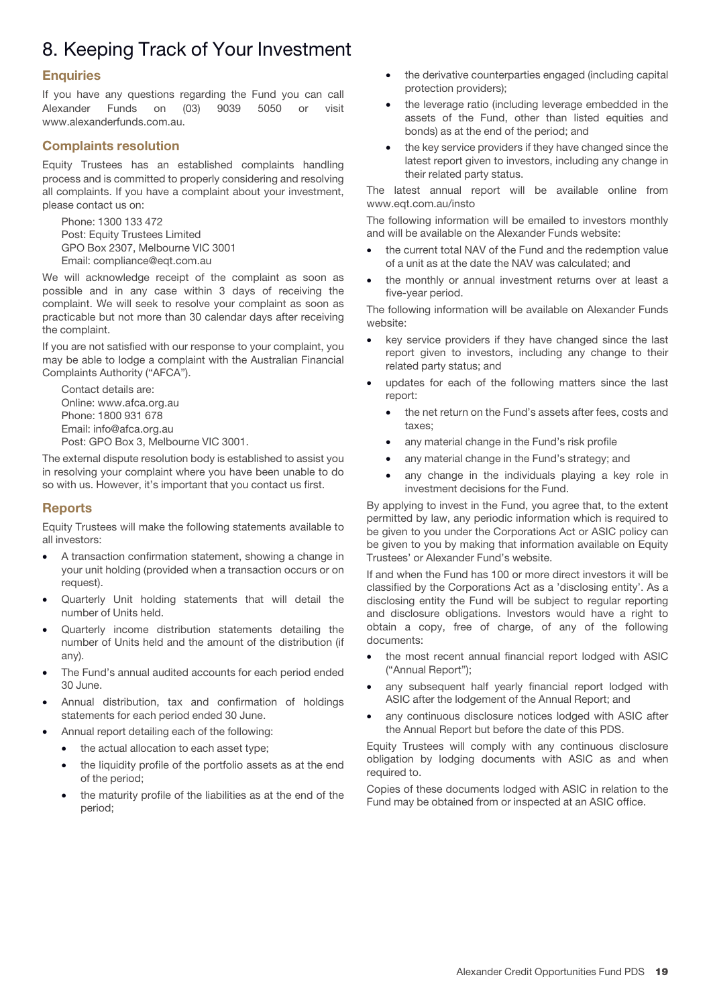# 8. Keeping Track of Your Investment

# **Enquiries**

If you have any questions regarding the Fund you can call Alexander Funds on (03) 9039 5050 or visit www.alexanderfunds.com.au.

# **Complaints resolution**

Equity Trustees has an established complaints handling process and is committed to properly considering and resolving all complaints. If you have a complaint about your investment, please contact us on:

Phone: 1300 133 472 Post: Equity Trustees Limited GPO Box 2307, Melbourne VIC 3001 Email: compliance@eqt.com.au

We will acknowledge receipt of the complaint as soon as possible and in any case within 3 days of receiving the complaint. We will seek to resolve your complaint as soon as practicable but not more than 30 calendar days after receiving the complaint.

If you are not satisfied with our response to your complaint, you may be able to lodge a complaint with the Australian Financial Complaints Authority ("AFCA").

Contact details are: Online: www.afca.org.au Phone: 1800 931 678 Email: info@afca.org.au Post: GPO Box 3, Melbourne VIC 3001.

The external dispute resolution body is established to assist you in resolving your complaint where you have been unable to do so with us. However, it's important that you contact us first.

# **Reports**

Equity Trustees will make the following statements available to all investors:

- A transaction confirmation statement, showing a change in your unit holding (provided when a transaction occurs or on request).
- Quarterly Unit holding statements that will detail the number of Units held.
- Quarterly income distribution statements detailing the number of Units held and the amount of the distribution (if any).
- The Fund's annual audited accounts for each period ended 30 June.
- Annual distribution, tax and confirmation of holdings statements for each period ended 30 June.
- Annual report detailing each of the following:
	- the actual allocation to each asset type;
	- the liquidity profile of the portfolio assets as at the end of the period;
	- the maturity profile of the liabilities as at the end of the period;
- the derivative counterparties engaged (including capital protection providers);
- the leverage ratio (including leverage embedded in the assets of the Fund, other than listed equities and bonds) as at the end of the period; and
- the key service providers if they have changed since the latest report given to investors, including any change in their related party status.

The latest annual report will be available online from www.eqt.com.au/insto

The following information will be emailed to investors monthly and will be available on the Alexander Funds website:

- the current total NAV of the Fund and the redemption value of a unit as at the date the NAV was calculated; and
- the monthly or annual investment returns over at least a five-year period.

The following information will be available on Alexander Funds website:

- key service providers if they have changed since the last report given to investors, including any change to their related party status; and
- updates for each of the following matters since the last report:
	- the net return on the Fund's assets after fees, costs and taxes;
	- any material change in the Fund's risk profile
	- any material change in the Fund's strategy; and
	- any change in the individuals playing a key role in investment decisions for the Fund.

By applying to invest in the Fund, you agree that, to the extent permitted by law, any periodic information which is required to be given to you under the Corporations Act or ASIC policy can be given to you by making that information available on Equity Trustees' or Alexander Fund's website.

If and when the Fund has 100 or more direct investors it will be classified by the Corporations Act as a 'disclosing entity'. As a disclosing entity the Fund will be subject to regular reporting and disclosure obligations. Investors would have a right to obtain a copy, free of charge, of any of the following documents:

- the most recent annual financial report lodged with ASIC ("Annual Report");
- any subsequent half yearly financial report lodged with ASIC after the lodgement of the Annual Report; and
- any continuous disclosure notices lodged with ASIC after the Annual Report but before the date of this PDS.

Equity Trustees will comply with any continuous disclosure obligation by lodging documents with ASIC as and when required to.

Copies of these documents lodged with ASIC in relation to the Fund may be obtained from or inspected at an ASIC office.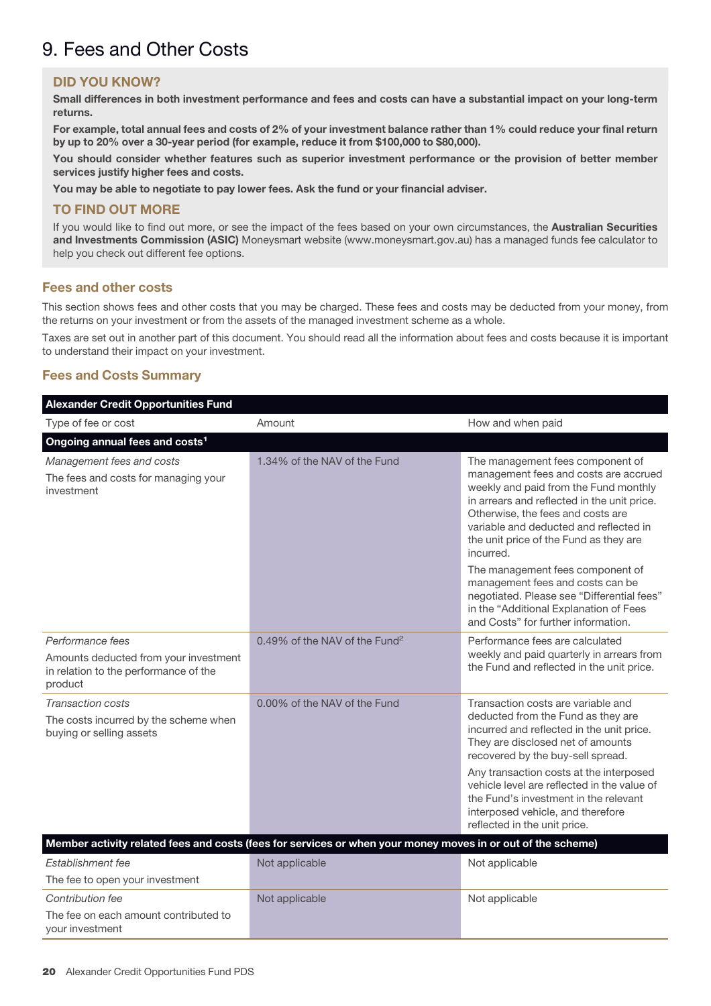# 9. Fees and Other Costs

# **DID YOU KNOW?**

**Small differences in both investment performance and fees and costs can have a substantial impact on your long-term returns.**

**For example, total annual fees and costs of 2% of your investment balance rather than 1% could reduce your final return by up to 20% over a 30-year period (for example, reduce it from \$100,000 to \$80,000).**

**You should consider whether features such as superior investment performance or the provision of better member services justify higher fees and costs.**

**You may be able to negotiate to pay lower fees. Ask the fund or your financial adviser.**

# **TO FIND OUT MORE**

If you would like to find out more, or see the impact of the fees based on your own circumstances, the **Australian Securities and Investments Commission (ASIC)** Moneysmart website (www.moneysmart.gov.au) has a managed funds fee calculator to help you check out different fee options.

# **Fees and other costs**

This section shows fees and other costs that you may be charged. These fees and costs may be deducted from your money, from the returns on your investment or from the assets of the managed investment scheme as a whole.

Taxes are set out in another part of this document. You should read all the information about fees and costs because it is important to understand their impact on your investment.

# **Fees and Costs Summary**

| <b>Alexander Credit Opportunities Fund</b>                                                                    |                                                                                                             |                                                                                                                                                                                                                                                                                                                                                                                                         |
|---------------------------------------------------------------------------------------------------------------|-------------------------------------------------------------------------------------------------------------|---------------------------------------------------------------------------------------------------------------------------------------------------------------------------------------------------------------------------------------------------------------------------------------------------------------------------------------------------------------------------------------------------------|
| Type of fee or cost                                                                                           | Amount                                                                                                      | How and when paid                                                                                                                                                                                                                                                                                                                                                                                       |
| Ongoing annual fees and costs <sup>1</sup>                                                                    |                                                                                                             |                                                                                                                                                                                                                                                                                                                                                                                                         |
| Management fees and costs<br>The fees and costs for managing your<br>investment                               | 1.34% of the NAV of the Fund                                                                                | The management fees component of<br>management fees and costs are accrued<br>weekly and paid from the Fund monthly<br>in arrears and reflected in the unit price.<br>Otherwise, the fees and costs are<br>variable and deducted and reflected in<br>the unit price of the Fund as they are<br>incurred.                                                                                                 |
|                                                                                                               |                                                                                                             | The management fees component of<br>management fees and costs can be<br>negotiated. Please see "Differential fees"<br>in the "Additional Explanation of Fees<br>and Costs" for further information.                                                                                                                                                                                                     |
| Performance fees<br>Amounts deducted from your investment<br>in relation to the performance of the<br>product | 0.49% of the NAV of the Fund <sup>2</sup>                                                                   | Performance fees are calculated<br>weekly and paid quarterly in arrears from<br>the Fund and reflected in the unit price.                                                                                                                                                                                                                                                                               |
| <b>Transaction costs</b><br>The costs incurred by the scheme when<br>buying or selling assets                 | 0.00% of the NAV of the Fund                                                                                | Transaction costs are variable and<br>deducted from the Fund as they are<br>incurred and reflected in the unit price.<br>They are disclosed net of amounts<br>recovered by the buy-sell spread.<br>Any transaction costs at the interposed<br>vehicle level are reflected in the value of<br>the Fund's investment in the relevant<br>interposed vehicle, and therefore<br>reflected in the unit price. |
|                                                                                                               | Member activity related fees and costs (fees for services or when your money moves in or out of the scheme) |                                                                                                                                                                                                                                                                                                                                                                                                         |
| Establishment fee<br>The fee to open your investment                                                          | Not applicable                                                                                              | Not applicable                                                                                                                                                                                                                                                                                                                                                                                          |
| Contribution fee<br>The fee on each amount contributed to<br>your investment                                  | Not applicable                                                                                              | Not applicable                                                                                                                                                                                                                                                                                                                                                                                          |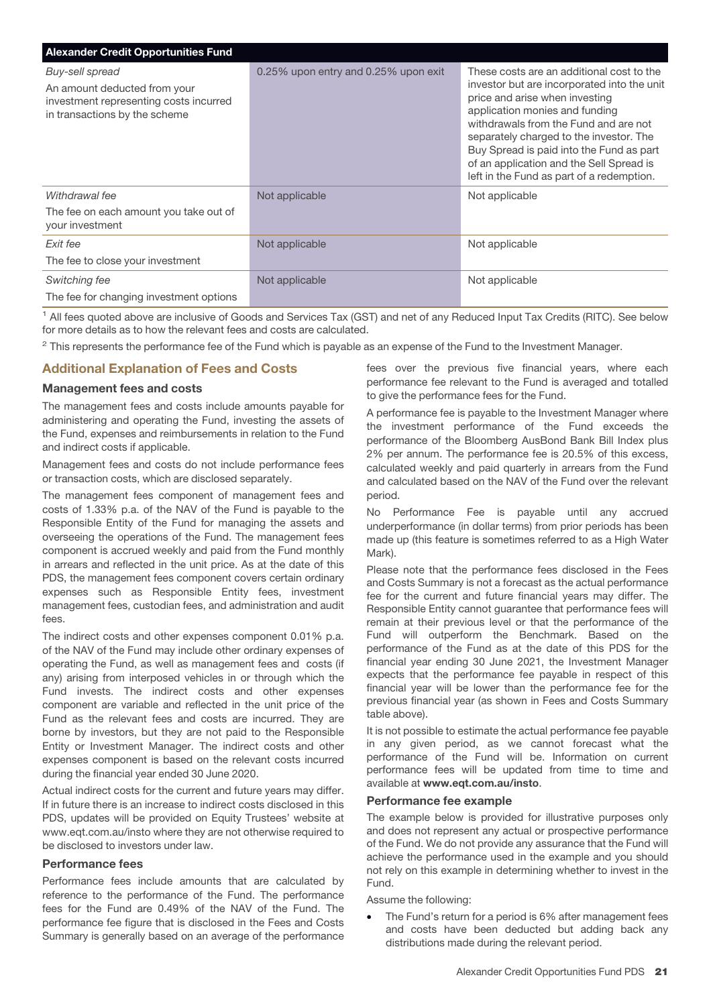| <b>Alexander Credit Opportunities Fund</b>                                                                                 |                                      |                                                                                                                                                                                                                                                                                                                                                                                       |
|----------------------------------------------------------------------------------------------------------------------------|--------------------------------------|---------------------------------------------------------------------------------------------------------------------------------------------------------------------------------------------------------------------------------------------------------------------------------------------------------------------------------------------------------------------------------------|
| Buy-sell spread<br>An amount deducted from your<br>investment representing costs incurred<br>in transactions by the scheme | 0.25% upon entry and 0.25% upon exit | These costs are an additional cost to the<br>investor but are incorporated into the unit<br>price and arise when investing<br>application monies and funding<br>withdrawals from the Fund and are not<br>separately charged to the investor. The<br>Buy Spread is paid into the Fund as part<br>of an application and the Sell Spread is<br>left in the Fund as part of a redemption. |
| Withdrawal fee                                                                                                             | Not applicable                       | Not applicable                                                                                                                                                                                                                                                                                                                                                                        |
| The fee on each amount you take out of<br>your investment                                                                  |                                      |                                                                                                                                                                                                                                                                                                                                                                                       |
| Exit fee                                                                                                                   | Not applicable                       | Not applicable                                                                                                                                                                                                                                                                                                                                                                        |
| The fee to close your investment                                                                                           |                                      |                                                                                                                                                                                                                                                                                                                                                                                       |
| Switching fee                                                                                                              | Not applicable                       | Not applicable                                                                                                                                                                                                                                                                                                                                                                        |
| The fee for changing investment options                                                                                    |                                      |                                                                                                                                                                                                                                                                                                                                                                                       |

<sup>1</sup> All fees quoted above are inclusive of Goods and Services Tax (GST) and net of any Reduced Input Tax Credits (RITC). See below for more details as to how the relevant fees and costs are calculated.

 $2$  This represents the performance fee of the Fund which is payable as an expense of the Fund to the Investment Manager.

# **Additional Explanation of Fees and Costs**

#### **Management fees and costs**

The management fees and costs include amounts payable for administering and operating the Fund, investing the assets of the Fund, expenses and reimbursements in relation to the Fund and indirect costs if applicable.

Management fees and costs do not include performance fees or transaction costs, which are disclosed separately.

The management fees component of management fees and costs of 1.33% p.a. of the NAV of the Fund is payable to the Responsible Entity of the Fund for managing the assets and overseeing the operations of the Fund. The management fees component is accrued weekly and paid from the Fund monthly in arrears and reflected in the unit price. As at the date of this PDS, the management fees component covers certain ordinary expenses such as Responsible Entity fees, investment management fees, custodian fees, and administration and audit fees.

The indirect costs and other expenses component 0.01% p.a. of the NAV of the Fund may include other ordinary expenses of operating the Fund, as well as management fees and costs (if any) arising from interposed vehicles in or through which the Fund invests. The indirect costs and other expenses component are variable and reflected in the unit price of the Fund as the relevant fees and costs are incurred. They are borne by investors, but they are not paid to the Responsible Entity or Investment Manager. The indirect costs and other expenses component is based on the relevant costs incurred during the financial year ended 30 June 2020.

Actual indirect costs for the current and future years may differ. If in future there is an increase to indirect costs disclosed in this PDS, updates will be provided on Equity Trustees' website at www.eqt.com.au/insto where they are not otherwise required to be disclosed to investors under law.

#### **Performance fees**

Performance fees include amounts that are calculated by reference to the performance of the Fund. The performance fees for the Fund are 0.49% of the NAV of the Fund. The performance fee figure that is disclosed in the Fees and Costs Summary is generally based on an average of the performance

fees over the previous five financial years, where each performance fee relevant to the Fund is averaged and totalled to give the performance fees for the Fund.

A performance fee is payable to the Investment Manager where the investment performance of the Fund exceeds the performance of the Bloomberg AusBond Bank Bill Index plus 2% per annum. The performance fee is 20.5% of this excess, calculated weekly and paid quarterly in arrears from the Fund and calculated based on the NAV of the Fund over the relevant period.

No Performance Fee is payable until any accrued underperformance (in dollar terms) from prior periods has been made up (this feature is sometimes referred to as a High Water Mark).

Please note that the performance fees disclosed in the Fees and Costs Summary is not a forecast as the actual performance fee for the current and future financial years may differ. The Responsible Entity cannot guarantee that performance fees will remain at their previous level or that the performance of the Fund will outperform the Benchmark. Based on the performance of the Fund as at the date of this PDS for the financial year ending 30 June 2021, the Investment Manager expects that the performance fee payable in respect of this financial year will be lower than the performance fee for the previous financial year (as shown in Fees and Costs Summary table above).

It is not possible to estimate the actual performance fee payable in any given period, as we cannot forecast what the performance of the Fund will be. Information on current performance fees will be updated from time to time and available at **www.eqt.com.au/insto**.

#### **Performance fee example**

The example below is provided for illustrative purposes only and does not represent any actual or prospective performance of the Fund. We do not provide any assurance that the Fund will achieve the performance used in the example and you should not rely on this example in determining whether to invest in the Fund.

Assume the following:

• The Fund's return for a period is 6% after management fees and costs have been deducted but adding back any distributions made during the relevant period.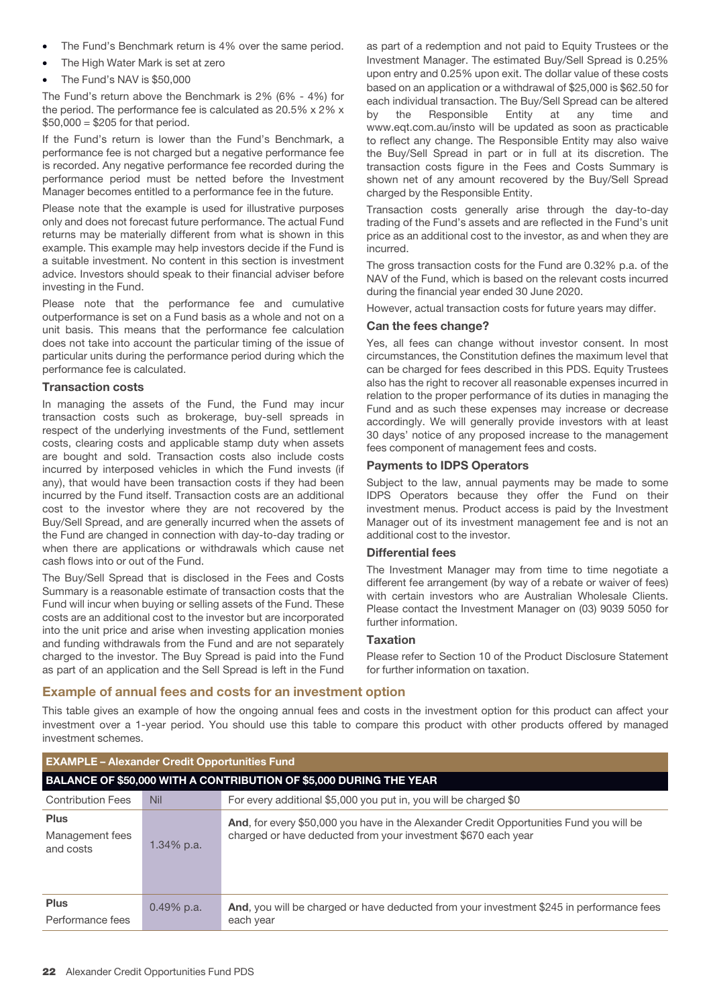- The Fund's Benchmark return is 4% over the same period.
- The High Water Mark is set at zero
- The Fund's NAV is \$50,000

The Fund's return above the Benchmark is 2% (6% - 4%) for the period. The performance fee is calculated as 20.5% x 2% x  $$50,000 = $205$  for that period.

If the Fund's return is lower than the Fund's Benchmark, a performance fee is not charged but a negative performance fee is recorded. Any negative performance fee recorded during the performance period must be netted before the Investment Manager becomes entitled to a performance fee in the future.

Please note that the example is used for illustrative purposes only and does not forecast future performance. The actual Fund returns may be materially different from what is shown in this example. This example may help investors decide if the Fund is a suitable investment. No content in this section is investment advice. Investors should speak to their financial adviser before investing in the Fund.

Please note that the performance fee and cumulative outperformance is set on a Fund basis as a whole and not on a unit basis. This means that the performance fee calculation does not take into account the particular timing of the issue of particular units during the performance period during which the performance fee is calculated.

# **Transaction costs**

In managing the assets of the Fund, the Fund may incur transaction costs such as brokerage, buy-sell spreads in respect of the underlying investments of the Fund, settlement costs, clearing costs and applicable stamp duty when assets are bought and sold. Transaction costs also include costs incurred by interposed vehicles in which the Fund invests (if any), that would have been transaction costs if they had been incurred by the Fund itself. Transaction costs are an additional cost to the investor where they are not recovered by the Buy/Sell Spread, and are generally incurred when the assets of the Fund are changed in connection with day-to-day trading or when there are applications or withdrawals which cause net cash flows into or out of the Fund.

The Buy/Sell Spread that is disclosed in the Fees and Costs Summary is a reasonable estimate of transaction costs that the Fund will incur when buying or selling assets of the Fund. These costs are an additional cost to the investor but are incorporated into the unit price and arise when investing application monies and funding withdrawals from the Fund and are not separately charged to the investor. The Buy Spread is paid into the Fund as part of an application and the Sell Spread is left in the Fund

as part of a redemption and not paid to Equity Trustees or the Investment Manager. The estimated Buy/Sell Spread is 0.25% upon entry and 0.25% upon exit. The dollar value of these costs based on an application or a withdrawal of \$25,000 is \$62.50 for each individual transaction. The Buy/Sell Spread can be altered by the Responsible Entity at any time and www.eqt.com.au/insto will be updated as soon as practicable to reflect any change. The Responsible Entity may also waive the Buy/Sell Spread in part or in full at its discretion. The transaction costs figure in the Fees and Costs Summary is shown net of any amount recovered by the Buy/Sell Spread charged by the Responsible Entity.

Transaction costs generally arise through the day-to-day trading of the Fund's assets and are reflected in the Fund's unit price as an additional cost to the investor, as and when they are incurred.

The gross transaction costs for the Fund are 0.32% p.a. of the NAV of the Fund, which is based on the relevant costs incurred during the financial year ended 30 June 2020.

However, actual transaction costs for future years may differ.

#### **Can the fees change?**

Yes, all fees can change without investor consent. In most circumstances, the Constitution defines the maximum level that can be charged for fees described in this PDS. Equity Trustees also has the right to recover all reasonable expenses incurred in relation to the proper performance of its duties in managing the Fund and as such these expenses may increase or decrease accordingly. We will generally provide investors with at least 30 days' notice of any proposed increase to the management fees component of management fees and costs.

#### **Payments to IDPS Operators**

Subject to the law, annual payments may be made to some IDPS Operators because they offer the Fund on their investment menus. Product access is paid by the Investment Manager out of its investment management fee and is not an additional cost to the investor.

#### **Differential fees**

The Investment Manager may from time to time negotiate a different fee arrangement (by way of a rebate or waiver of fees) with certain investors who are Australian Wholesale Clients. Please contact the Investment Manager on (03) 9039 5050 for further information.

#### **Taxation**

Please refer to Section 10 of the Product Disclosure Statement for further information on taxation.

# **Example of annual fees and costs for an investment option**

This table gives an example of how the ongoing annual fees and costs in the investment option for this product can affect your investment over a 1-year period. You should use this table to compare this product with other products offered by managed investment schemes.

| <b>EXAMPLE - Alexander Credit Opportunities Fund</b>               |               |                                                                                                                                                          |
|--------------------------------------------------------------------|---------------|----------------------------------------------------------------------------------------------------------------------------------------------------------|
| BALANCE OF \$50,000 WITH A CONTRIBUTION OF \$5,000 DURING THE YEAR |               |                                                                                                                                                          |
| <b>Contribution Fees</b>                                           | <b>Nil</b>    | For every additional \$5,000 you put in, you will be charged \$0                                                                                         |
| <b>Plus</b><br>Management fees<br>and costs                        | $1.34\%$ p.a. | And, for every \$50,000 you have in the Alexander Credit Opportunities Fund you will be<br>charged or have deducted from your investment \$670 each year |
| <b>Plus</b><br>Performance fees                                    | $0.49\%$ p.a. | And, you will be charged or have deducted from your investment \$245 in performance fees<br>each year                                                    |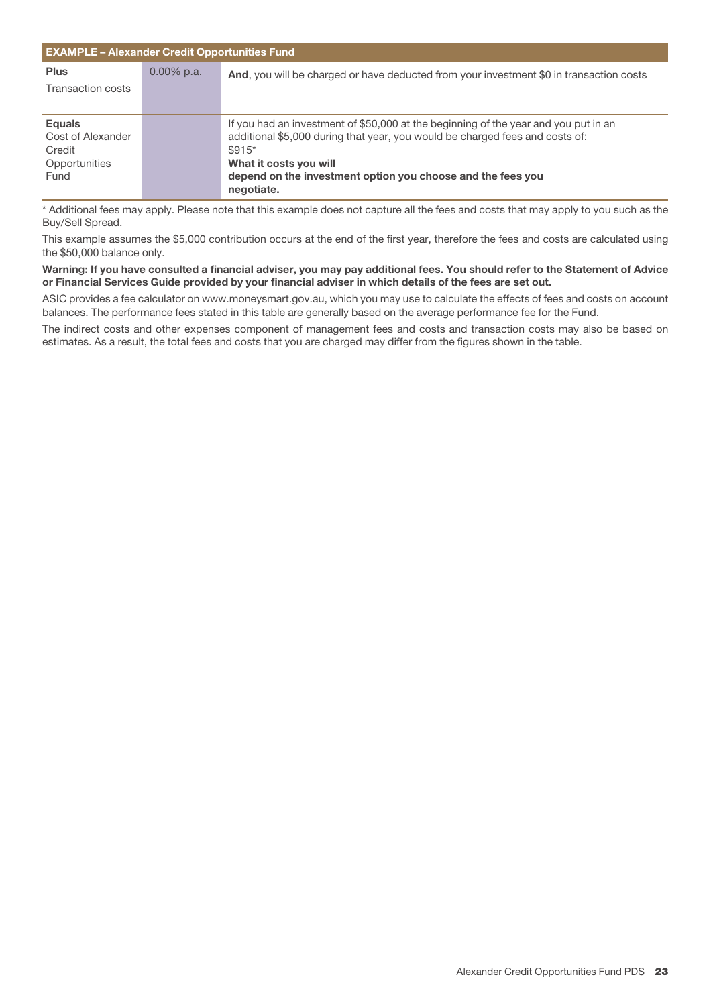| <b>EXAMPLE - Alexander Credit Opportunities Fund</b> |            |                                                                                         |
|------------------------------------------------------|------------|-----------------------------------------------------------------------------------------|
| <b>Plus</b>                                          | 0.00% p.a. | And, you will be charged or have deducted from your investment \$0 in transaction costs |
| <b>Transaction costs</b>                             |            |                                                                                         |
|                                                      |            |                                                                                         |
| <b>Equals</b>                                        |            | If you had an investment of \$50,000 at the beginning of the year and you put in an     |
| Cost of Alexander                                    |            | additional \$5,000 during that year, you would be charged fees and costs of:            |
| Credit                                               |            | $$915*$                                                                                 |
| Opportunities                                        |            | What it costs you will                                                                  |
| Fund                                                 |            | depend on the investment option you choose and the fees you                             |
|                                                      |            | negotiate.                                                                              |

\* Additional fees may apply. Please note that this example does not capture all the fees and costs that may apply to you such as the Buy/Sell Spread.

This example assumes the \$5,000 contribution occurs at the end of the first year, therefore the fees and costs are calculated using the \$50,000 balance only.

**Warning: If you have consulted a financial adviser, you may pay additional fees. You should refer to the Statement of Advice or Financial Services Guide provided by your financial adviser in which details of the fees are set out.**

ASIC provides a fee calculator on www.moneysmart.gov.au, which you may use to calculate the effects of fees and costs on account balances. The performance fees stated in this table are generally based on the average performance fee for the Fund.

The indirect costs and other expenses component of management fees and costs and transaction costs may also be based on estimates. As a result, the total fees and costs that you are charged may differ from the figures shown in the table.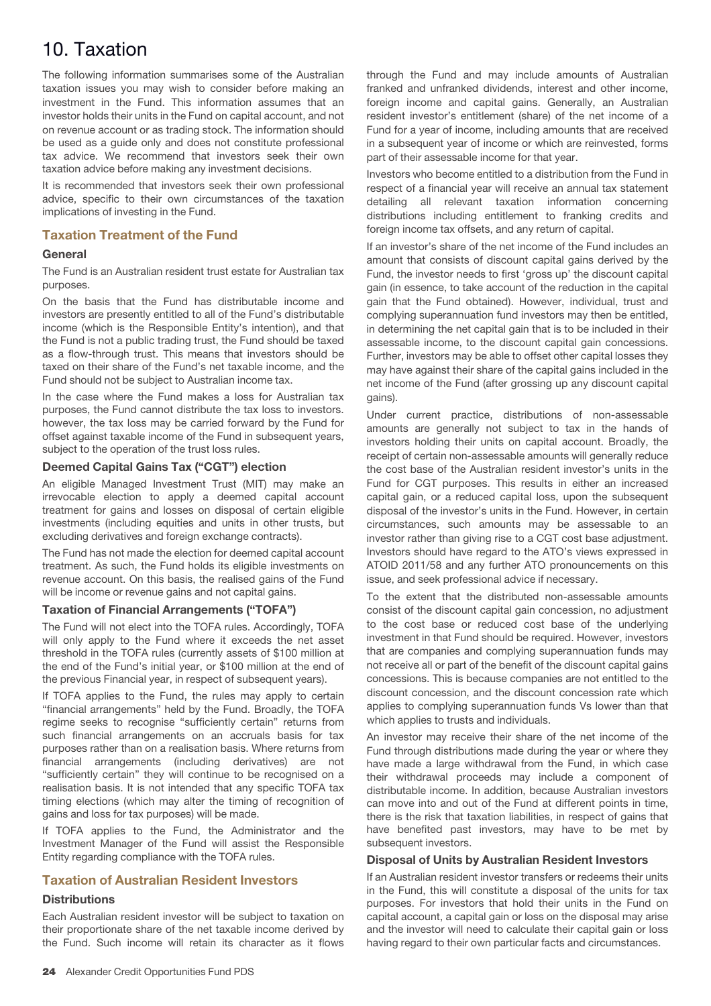# 10. Taxation

The following information summarises some of the Australian taxation issues you may wish to consider before making an investment in the Fund. This information assumes that an investor holds their units in the Fund on capital account, and not on revenue account or as trading stock. The information should be used as a guide only and does not constitute professional tax advice. We recommend that investors seek their own taxation advice before making any investment decisions.

It is recommended that investors seek their own professional advice, specific to their own circumstances of the taxation implications of investing in the Fund.

# **Taxation Treatment of the Fund**

# **General**

The Fund is an Australian resident trust estate for Australian tax purposes.

On the basis that the Fund has distributable income and investors are presently entitled to all of the Fund's distributable income (which is the Responsible Entity's intention), and that the Fund is not a public trading trust, the Fund should be taxed as a flow-through trust. This means that investors should be taxed on their share of the Fund's net taxable income, and the Fund should not be subject to Australian income tax.

In the case where the Fund makes a loss for Australian tax purposes, the Fund cannot distribute the tax loss to investors. however, the tax loss may be carried forward by the Fund for offset against taxable income of the Fund in subsequent years, subject to the operation of the trust loss rules.

# **Deemed Capital Gains Tax ("CGT") election**

An eligible Managed Investment Trust (MIT) may make an irrevocable election to apply a deemed capital account treatment for gains and losses on disposal of certain eligible investments (including equities and units in other trusts, but excluding derivatives and foreign exchange contracts).

The Fund has not made the election for deemed capital account treatment. As such, the Fund holds its eligible investments on revenue account. On this basis, the realised gains of the Fund will be income or revenue gains and not capital gains.

# **Taxation of Financial Arrangements ("TOFA")**

The Fund will not elect into the TOFA rules. Accordingly, TOFA will only apply to the Fund where it exceeds the net asset threshold in the TOFA rules (currently assets of \$100 million at the end of the Fund's initial year, or \$100 million at the end of the previous Financial year, in respect of subsequent years).

If TOFA applies to the Fund, the rules may apply to certain "financial arrangements" held by the Fund. Broadly, the TOFA regime seeks to recognise "sufficiently certain" returns from such financial arrangements on an accruals basis for tax purposes rather than on a realisation basis. Where returns from financial arrangements (including derivatives) are not "sufficiently certain" they will continue to be recognised on a realisation basis. It is not intended that any specific TOFA tax timing elections (which may alter the timing of recognition of gains and loss for tax purposes) will be made.

If TOFA applies to the Fund, the Administrator and the Investment Manager of the Fund will assist the Responsible Entity regarding compliance with the TOFA rules.

# **Taxation of Australian Resident Investors**

# **Distributions**

Each Australian resident investor will be subject to taxation on their proportionate share of the net taxable income derived by the Fund. Such income will retain its character as it flows

through the Fund and may include amounts of Australian franked and unfranked dividends, interest and other income, foreign income and capital gains. Generally, an Australian resident investor's entitlement (share) of the net income of a Fund for a year of income, including amounts that are received in a subsequent year of income or which are reinvested, forms part of their assessable income for that year.

Investors who become entitled to a distribution from the Fund in respect of a financial year will receive an annual tax statement detailing all relevant taxation information concerning distributions including entitlement to franking credits and foreign income tax offsets, and any return of capital.

If an investor's share of the net income of the Fund includes an amount that consists of discount capital gains derived by the Fund, the investor needs to first 'gross up' the discount capital gain (in essence, to take account of the reduction in the capital gain that the Fund obtained). However, individual, trust and complying superannuation fund investors may then be entitled, in determining the net capital gain that is to be included in their assessable income, to the discount capital gain concessions. Further, investors may be able to offset other capital losses they may have against their share of the capital gains included in the net income of the Fund (after grossing up any discount capital gains).

Under current practice, distributions of non-assessable amounts are generally not subject to tax in the hands of investors holding their units on capital account. Broadly, the receipt of certain non-assessable amounts will generally reduce the cost base of the Australian resident investor's units in the Fund for CGT purposes. This results in either an increased capital gain, or a reduced capital loss, upon the subsequent disposal of the investor's units in the Fund. However, in certain circumstances, such amounts may be assessable to an investor rather than giving rise to a CGT cost base adjustment. Investors should have regard to the ATO's views expressed in ATOID 2011/58 and any further ATO pronouncements on this issue, and seek professional advice if necessary.

To the extent that the distributed non-assessable amounts consist of the discount capital gain concession, no adjustment to the cost base or reduced cost base of the underlying investment in that Fund should be required. However, investors that are companies and complying superannuation funds may not receive all or part of the benefit of the discount capital gains concessions. This is because companies are not entitled to the discount concession, and the discount concession rate which applies to complying superannuation funds Vs lower than that which applies to trusts and individuals.

An investor may receive their share of the net income of the Fund through distributions made during the year or where they have made a large withdrawal from the Fund, in which case their withdrawal proceeds may include a component of distributable income. In addition, because Australian investors can move into and out of the Fund at different points in time, there is the risk that taxation liabilities, in respect of gains that have benefited past investors, may have to be met by subsequent investors.

# **Disposal of Units by Australian Resident Investors**

If an Australian resident investor transfers or redeems their units in the Fund, this will constitute a disposal of the units for tax purposes. For investors that hold their units in the Fund on capital account, a capital gain or loss on the disposal may arise and the investor will need to calculate their capital gain or loss having regard to their own particular facts and circumstances.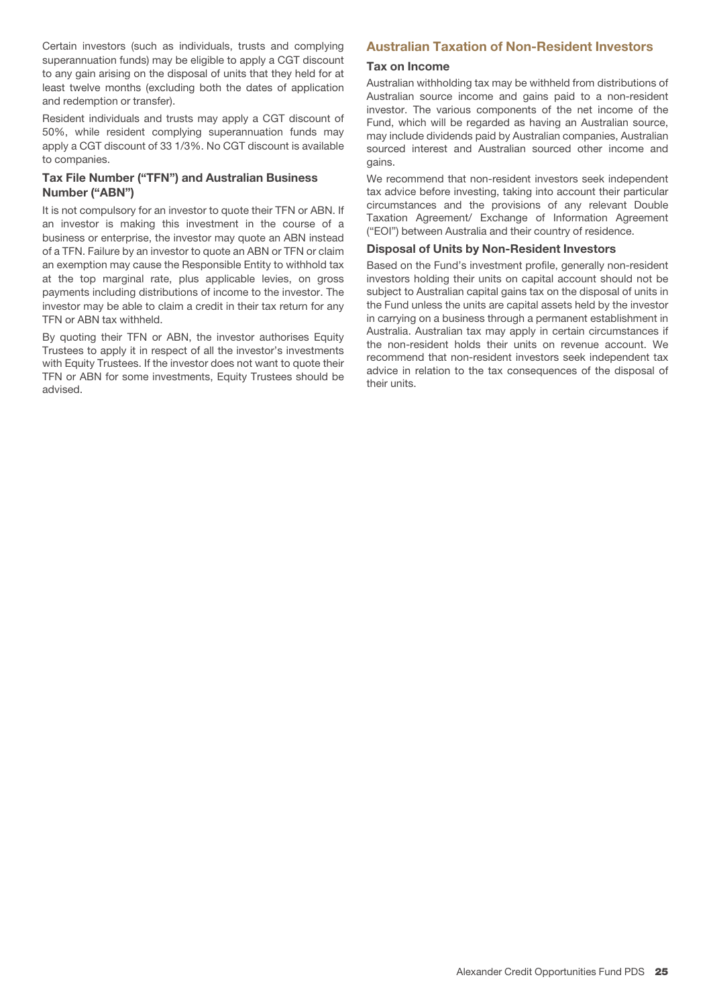Certain investors (such as individuals, trusts and complying superannuation funds) may be eligible to apply a CGT discount to any gain arising on the disposal of units that they held for at least twelve months (excluding both the dates of application and redemption or transfer).

Resident individuals and trusts may apply a CGT discount of 50%, while resident complying superannuation funds may apply a CGT discount of 33 1/3%. No CGT discount is available to companies.

# **Tax File Number ("TFN") and Australian Business Number ("ABN")**

It is not compulsory for an investor to quote their TFN or ABN. If an investor is making this investment in the course of a business or enterprise, the investor may quote an ABN instead of a TFN. Failure by an investor to quote an ABN or TFN or claim an exemption may cause the Responsible Entity to withhold tax at the top marginal rate, plus applicable levies, on gross payments including distributions of income to the investor. The investor may be able to claim a credit in their tax return for any TFN or ABN tax withheld.

By quoting their TFN or ABN, the investor authorises Equity Trustees to apply it in respect of all the investor's investments with Equity Trustees. If the investor does not want to quote their TFN or ABN for some investments, Equity Trustees should be advised.

# **Australian Taxation of Non-Resident Investors**

#### **Tax on Income**

Australian withholding tax may be withheld from distributions of Australian source income and gains paid to a non-resident investor. The various components of the net income of the Fund, which will be regarded as having an Australian source, may include dividends paid by Australian companies, Australian sourced interest and Australian sourced other income and gains.

We recommend that non-resident investors seek independent tax advice before investing, taking into account their particular circumstances and the provisions of any relevant Double Taxation Agreement/ Exchange of Information Agreement ("EOI") between Australia and their country of residence.

#### **Disposal of Units by Non-Resident Investors**

Based on the Fund's investment profile, generally non-resident investors holding their units on capital account should not be subject to Australian capital gains tax on the disposal of units in the Fund unless the units are capital assets held by the investor in carrying on a business through a permanent establishment in Australia. Australian tax may apply in certain circumstances if the non-resident holds their units on revenue account. We recommend that non-resident investors seek independent tax advice in relation to the tax consequences of the disposal of their units.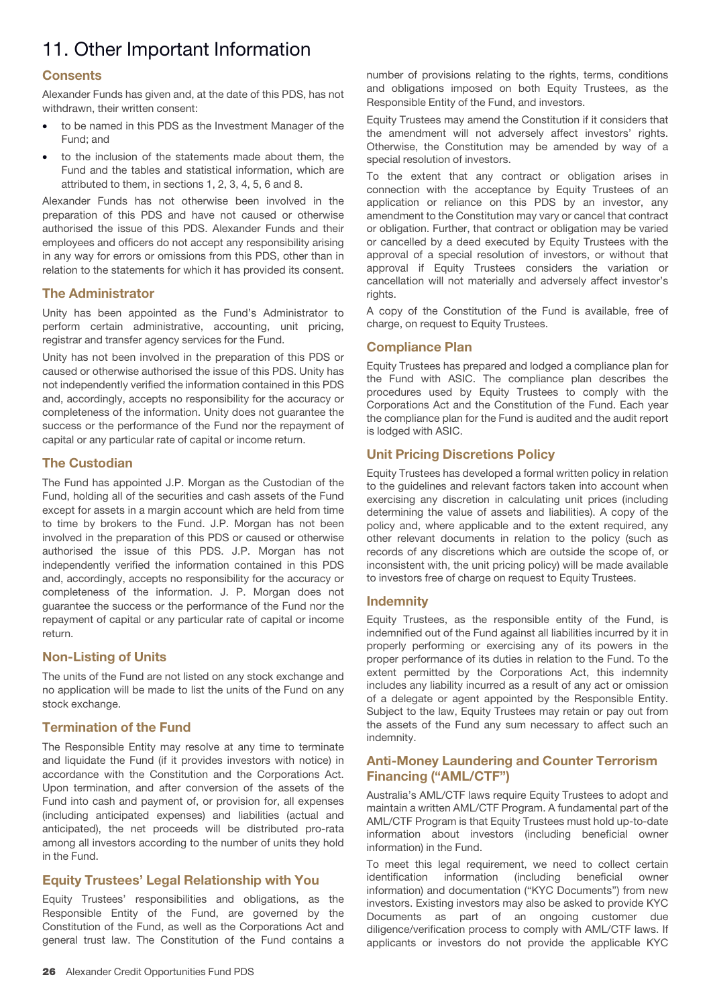# 11. Other Important Information

# **Consents**

Alexander Funds has given and, at the date of this PDS, has not withdrawn, their written consent:

- to be named in this PDS as the Investment Manager of the Fund; and
- to the inclusion of the statements made about them, the Fund and the tables and statistical information, which are attributed to them, in sections 1, 2, 3, 4, 5, 6 and 8.

Alexander Funds has not otherwise been involved in the preparation of this PDS and have not caused or otherwise authorised the issue of this PDS. Alexander Funds and their employees and officers do not accept any responsibility arising in any way for errors or omissions from this PDS, other than in relation to the statements for which it has provided its consent.

# **The Administrator**

Unity has been appointed as the Fund's Administrator to perform certain administrative, accounting, unit pricing, registrar and transfer agency services for the Fund.

Unity has not been involved in the preparation of this PDS or caused or otherwise authorised the issue of this PDS. Unity has not independently verified the information contained in this PDS and, accordingly, accepts no responsibility for the accuracy or completeness of the information. Unity does not guarantee the success or the performance of the Fund nor the repayment of capital or any particular rate of capital or income return.

# **The Custodian**

The Fund has appointed J.P. Morgan as the Custodian of the Fund, holding all of the securities and cash assets of the Fund except for assets in a margin account which are held from time to time by brokers to the Fund. J.P. Morgan has not been involved in the preparation of this PDS or caused or otherwise authorised the issue of this PDS. J.P. Morgan has not independently verified the information contained in this PDS and, accordingly, accepts no responsibility for the accuracy or completeness of the information. J. P. Morgan does not guarantee the success or the performance of the Fund nor the repayment of capital or any particular rate of capital or income return.

# **Non-Listing of Units**

The units of the Fund are not listed on any stock exchange and no application will be made to list the units of the Fund on any stock exchange.

# **Termination of the Fund**

The Responsible Entity may resolve at any time to terminate and liquidate the Fund (if it provides investors with notice) in accordance with the Constitution and the Corporations Act. Upon termination, and after conversion of the assets of the Fund into cash and payment of, or provision for, all expenses (including anticipated expenses) and liabilities (actual and anticipated), the net proceeds will be distributed pro-rata among all investors according to the number of units they hold in the Fund.

# **Equity Trustees' Legal Relationship with You**

Equity Trustees' responsibilities and obligations, as the Responsible Entity of the Fund, are governed by the Constitution of the Fund, as well as the Corporations Act and general trust law. The Constitution of the Fund contains a

number of provisions relating to the rights, terms, conditions and obligations imposed on both Equity Trustees, as the Responsible Entity of the Fund, and investors.

Equity Trustees may amend the Constitution if it considers that the amendment will not adversely affect investors' rights. Otherwise, the Constitution may be amended by way of a special resolution of investors.

To the extent that any contract or obligation arises in connection with the acceptance by Equity Trustees of an application or reliance on this PDS by an investor, any amendment to the Constitution may vary or cancel that contract or obligation. Further, that contract or obligation may be varied or cancelled by a deed executed by Equity Trustees with the approval of a special resolution of investors, or without that approval if Equity Trustees considers the variation or cancellation will not materially and adversely affect investor's rights.

A copy of the Constitution of the Fund is available, free of charge, on request to Equity Trustees.

# **Compliance Plan**

Equity Trustees has prepared and lodged a compliance plan for the Fund with ASIC. The compliance plan describes the procedures used by Equity Trustees to comply with the Corporations Act and the Constitution of the Fund. Each year the compliance plan for the Fund is audited and the audit report is lodged with ASIC.

# **Unit Pricing Discretions Policy**

Equity Trustees has developed a formal written policy in relation to the guidelines and relevant factors taken into account when exercising any discretion in calculating unit prices (including determining the value of assets and liabilities). A copy of the policy and, where applicable and to the extent required, any other relevant documents in relation to the policy (such as records of any discretions which are outside the scope of, or inconsistent with, the unit pricing policy) will be made available to investors free of charge on request to Equity Trustees.

# **Indemnity**

Equity Trustees, as the responsible entity of the Fund, is indemnified out of the Fund against all liabilities incurred by it in properly performing or exercising any of its powers in the proper performance of its duties in relation to the Fund. To the extent permitted by the Corporations Act, this indemnity includes any liability incurred as a result of any act or omission of a delegate or agent appointed by the Responsible Entity. Subject to the law, Equity Trustees may retain or pay out from the assets of the Fund any sum necessary to affect such an indemnity.

# **Anti-Money Laundering and Counter Terrorism Financing ("AML/CTF")**

Australia's AML/CTF laws require Equity Trustees to adopt and maintain a written AML/CTF Program. A fundamental part of the AML/CTF Program is that Equity Trustees must hold up-to-date information about investors (including beneficial owner information) in the Fund.

To meet this legal requirement, we need to collect certain identification information (including beneficial owner information) and documentation ("KYC Documents") from new investors. Existing investors may also be asked to provide KYC Documents as part of an ongoing customer due diligence/verification process to comply with AML/CTF laws. If applicants or investors do not provide the applicable KYC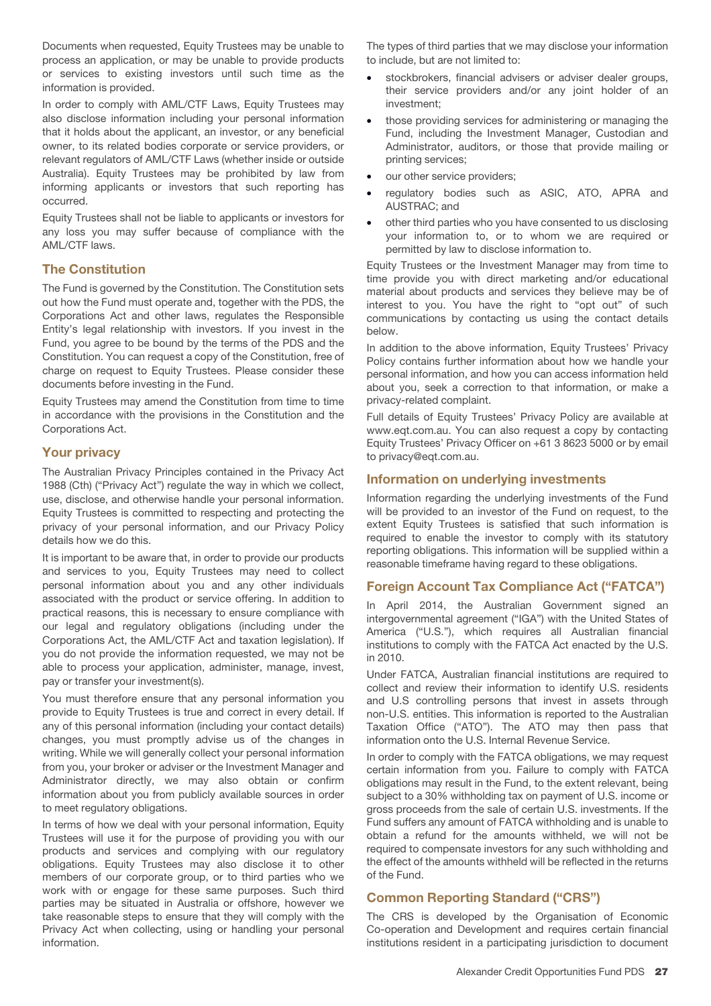Documents when requested, Equity Trustees may be unable to process an application, or may be unable to provide products or services to existing investors until such time as the information is provided.

In order to comply with AML/CTF Laws, Equity Trustees may also disclose information including your personal information that it holds about the applicant, an investor, or any beneficial owner, to its related bodies corporate or service providers, or relevant regulators of AML/CTF Laws (whether inside or outside Australia). Equity Trustees may be prohibited by law from informing applicants or investors that such reporting has occurred.

Equity Trustees shall not be liable to applicants or investors for any loss you may suffer because of compliance with the AML/CTF laws.

# **The Constitution**

The Fund is governed by the Constitution. The Constitution sets out how the Fund must operate and, together with the PDS, the Corporations Act and other laws, regulates the Responsible Entity's legal relationship with investors. If you invest in the Fund, you agree to be bound by the terms of the PDS and the Constitution. You can request a copy of the Constitution, free of charge on request to Equity Trustees. Please consider these documents before investing in the Fund.

Equity Trustees may amend the Constitution from time to time in accordance with the provisions in the Constitution and the Corporations Act.

# **Your privacy**

The Australian Privacy Principles contained in the Privacy Act 1988 (Cth) ("Privacy Act") regulate the way in which we collect, use, disclose, and otherwise handle your personal information. Equity Trustees is committed to respecting and protecting the privacy of your personal information, and our Privacy Policy details how we do this.

It is important to be aware that, in order to provide our products and services to you, Equity Trustees may need to collect personal information about you and any other individuals associated with the product or service offering. In addition to practical reasons, this is necessary to ensure compliance with our legal and regulatory obligations (including under the Corporations Act, the AML/CTF Act and taxation legislation). If you do not provide the information requested, we may not be able to process your application, administer, manage, invest, pay or transfer your investment(s).

You must therefore ensure that any personal information you provide to Equity Trustees is true and correct in every detail. If any of this personal information (including your contact details) changes, you must promptly advise us of the changes in writing. While we will generally collect your personal information from you, your broker or adviser or the Investment Manager and Administrator directly, we may also obtain or confirm information about you from publicly available sources in order to meet regulatory obligations.

In terms of how we deal with your personal information, Equity Trustees will use it for the purpose of providing you with our products and services and complying with our regulatory obligations. Equity Trustees may also disclose it to other members of our corporate group, or to third parties who we work with or engage for these same purposes. Such third parties may be situated in Australia or offshore, however we take reasonable steps to ensure that they will comply with the Privacy Act when collecting, using or handling your personal information.

The types of third parties that we may disclose your information to include, but are not limited to:

- stockbrokers, financial advisers or adviser dealer groups, their service providers and/or any joint holder of an investment;
- those providing services for administering or managing the Fund, including the Investment Manager, Custodian and Administrator, auditors, or those that provide mailing or printing services;
- our other service providers;
- regulatory bodies such as ASIC, ATO, APRA and AUSTRAC; and
- other third parties who you have consented to us disclosing your information to, or to whom we are required or permitted by law to disclose information to.

Equity Trustees or the Investment Manager may from time to time provide you with direct marketing and/or educational material about products and services they believe may be of interest to you. You have the right to "opt out" of such communications by contacting us using the contact details below.

In addition to the above information, Equity Trustees' Privacy Policy contains further information about how we handle your personal information, and how you can access information held about you, seek a correction to that information, or make a privacy-related complaint.

Full details of Equity Trustees' Privacy Policy are available at www.eqt.com.au. You can also request a copy by contacting Equity Trustees' Privacy Officer on +61 3 8623 5000 or by email to privacy@eqt.com.au.

#### **Information on underlying investments**

Information regarding the underlying investments of the Fund will be provided to an investor of the Fund on request, to the extent Equity Trustees is satisfied that such information is required to enable the investor to comply with its statutory reporting obligations. This information will be supplied within a reasonable timeframe having regard to these obligations.

# **Foreign Account Tax Compliance Act ("FATCA")**

In April 2014, the Australian Government signed an intergovernmental agreement ("IGA") with the United States of America ("U.S."), which requires all Australian financial institutions to comply with the FATCA Act enacted by the U.S. in 2010.

Under FATCA, Australian financial institutions are required to collect and review their information to identify U.S. residents and U.S controlling persons that invest in assets through non-U.S. entities. This information is reported to the Australian Taxation Office ("ATO"). The ATO may then pass that information onto the U.S. Internal Revenue Service.

In order to comply with the FATCA obligations, we may request certain information from you. Failure to comply with FATCA obligations may result in the Fund, to the extent relevant, being subject to a 30% withholding tax on payment of U.S. income or gross proceeds from the sale of certain U.S. investments. If the Fund suffers any amount of FATCA withholding and is unable to obtain a refund for the amounts withheld, we will not be required to compensate investors for any such withholding and the effect of the amounts withheld will be reflected in the returns of the Fund.

# **Common Reporting Standard ("CRS")**

The CRS is developed by the Organisation of Economic Co-operation and Development and requires certain financial institutions resident in a participating jurisdiction to document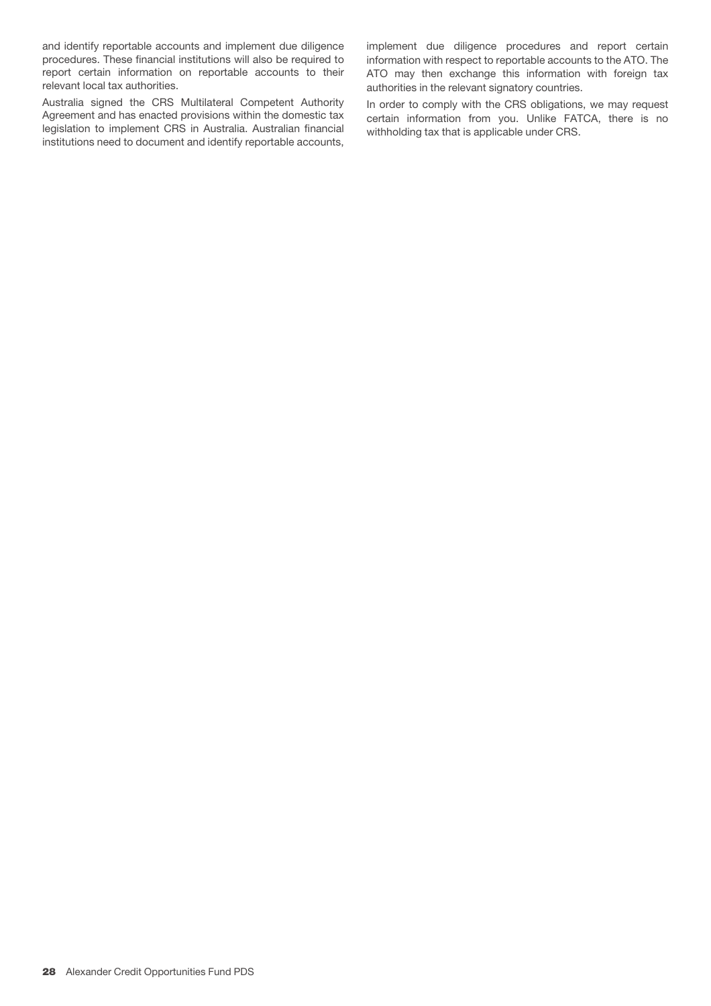and identify reportable accounts and implement due diligence procedures. These financial institutions will also be required to report certain information on reportable accounts to their relevant local tax authorities.

Australia signed the CRS Multilateral Competent Authority Agreement and has enacted provisions within the domestic tax legislation to implement CRS in Australia. Australian financial institutions need to document and identify reportable accounts,

implement due diligence procedures and report certain information with respect to reportable accounts to the ATO. The ATO may then exchange this information with foreign tax authorities in the relevant signatory countries.

In order to comply with the CRS obligations, we may request certain information from you. Unlike FATCA, there is no withholding tax that is applicable under CRS.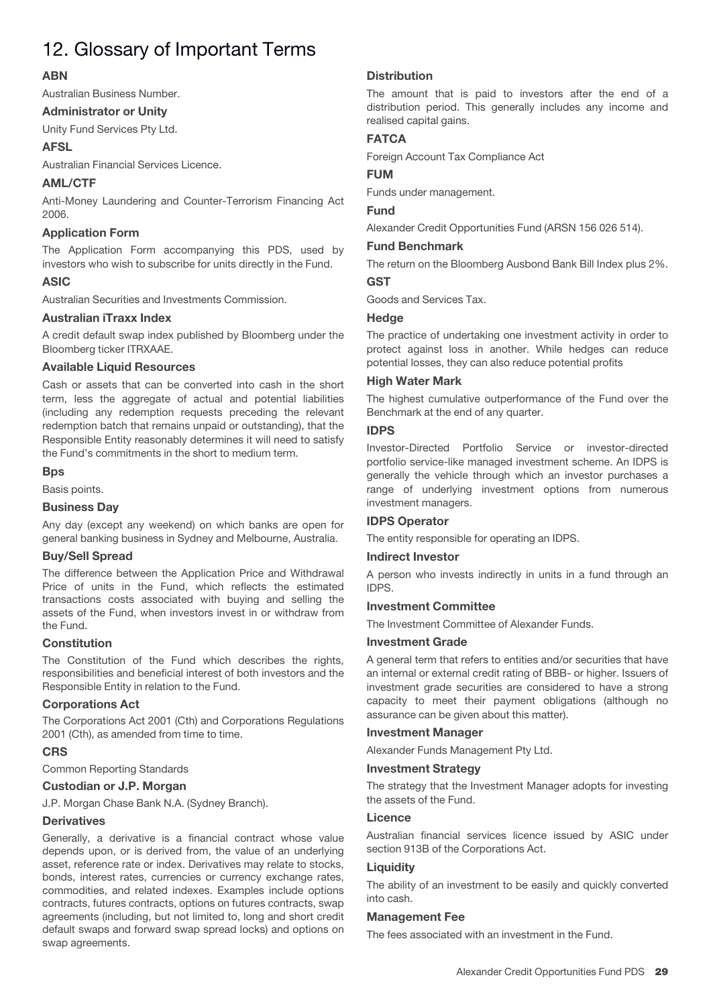# 12. Glossary of Important Terms

# **ABN**

Australian Business Number.

# **Administrator or Unity**

Unity Fund Services Pty Ltd.

# **AFSL**

Australian Financial Services Licence.

# **AML/CTF**

Anti-Money Laundering and Counter-Terrorism Financing Act 2006.

# **Application Form**

The Application Form accompanying this PDS, used by investors who wish to subscribe for units directly in the Fund.

# **ASIC**

Australian Securities and Investments Commission.

# **Australian iTraxx Index**

A credit default swap index published by Bloomberg under the Bloomberg ticker ITRXAAE.

# **Available Liquid Resources**

Cash or assets that can be converted into cash in the short term, less the aggregate of actual and potential liabilities (including any redemption requests preceding the relevant redemption batch that remains unpaid or outstanding), that the Responsible Entity reasonably determines it will need to satisfy the Fund's commitments in the short to medium term.

# **Bps**

Basis points.

# **Business Day**

Any day (except any weekend) on which banks are open for general banking business in Sydney and Melbourne, Australia.

# **Buy/Sell Spread**

The difference between the Application Price and Withdrawal Price of units in the Fund, which reflects the estimated transactions costs associated with buying and selling the assets of the Fund, when investors invest in or withdraw from the Fund.

# **Constitution**

The Constitution of the Fund which describes the rights, responsibilities and beneficial interest of both investors and the Responsible Entity in relation to the Fund.

# **Corporations Act**

The Corporations Act 2001 (Cth) and Corporations Regulations 2001 (Cth), as amended from time to time.

# **CRS**

Common Reporting Standards

# **Custodian or J.P. Morgan**

J.P. Morgan Chase Bank N.A. (Sydney Branch).

# **Derivatives**

Generally, a derivative is a financial contract whose value depends upon, or is derived from, the value of an underlying asset, reference rate or index. Derivatives may relate to stocks, bonds, interest rates, currencies or currency exchange rates, commodities, and related indexes. Examples include options contracts, futures contracts, options on futures contracts, swap agreements (including, but not limited to, long and short credit default swaps and forward swap spread locks) and options on swap agreements.

# **Distribution**

The amount that is paid to investors after the end of a distribution period. This generally includes any income and realised capital gains.

# **FATCA**

Foreign Account Tax Compliance Act

# **FUM**

Funds under management.

# **Fund**

Alexander Credit Opportunities Fund (ARSN 156 026 514).

#### **Fund Benchmark**

The return on the Bloomberg Ausbond Bank Bill Index plus 2%.

# **GST**

Goods and Services Tax.

# **Hedge**

The practice of undertaking one investment activity in order to protect against loss in another. While hedges can reduce potential losses, they can also reduce potential profits

# **High Water Mark**

The highest cumulative outperformance of the Fund over the Benchmark at the end of any quarter.

# **IDPS**

Investor-Directed Portfolio Service or investor-directed portfolio service-like managed investment scheme. An IDPS is generally the vehicle through which an investor purchases a range of underlying investment options from numerous investment managers.

# **IDPS Operator**

The entity responsible for operating an IDPS.

# **Indirect Investor**

A person who invests indirectly in units in a fund through an IDPS.

# **Investment Committee**

The Investment Committee of Alexander Funds.

# **Investment Grade**

A general term that refers to entities and/or securities that have an internal or external credit rating of BBB- or higher. Issuers of investment grade securities are considered to have a strong capacity to meet their payment obligations (although no assurance can be given about this matter).

# **Investment Manager**

Alexander Funds Management Pty Ltd.

# **Investment Strategy**

The strategy that the Investment Manager adopts for investing the assets of the Fund.

# **Licence**

Australian financial services licence issued by ASIC under section 913B of the Corporations Act.

# **Liquidity**

The ability of an investment to be easily and quickly converted into cash.

# **Management Fee**

The fees associated with an investment in the Fund.